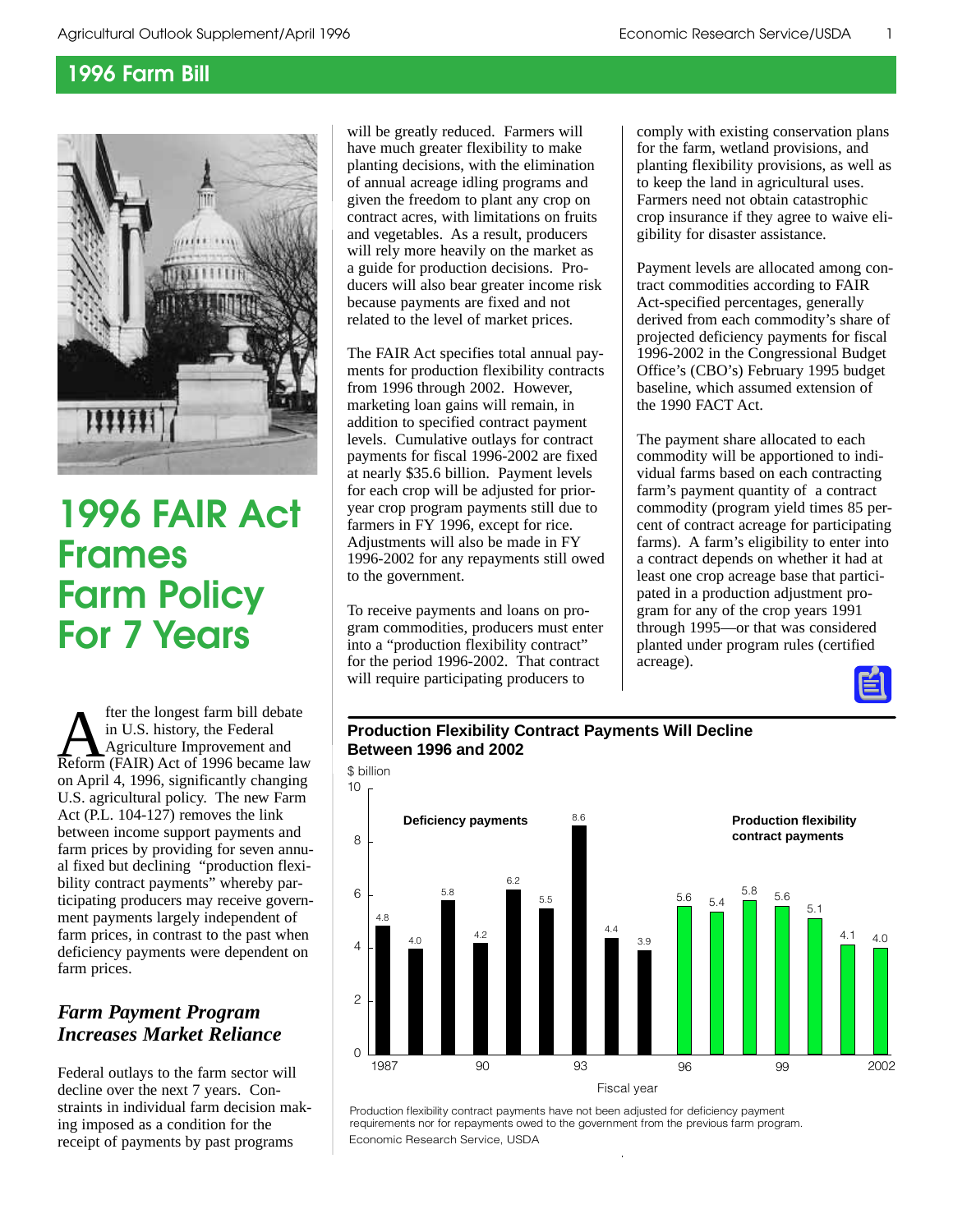

# **1996 FAIR Act Frames Farm Policy For 7 Years**

**A** fter the longest farm bill debate<br>
in U.S. history, the Federal<br>
Reform (FAIR) Act of 1996 became law in U.S. history, the Federal Agriculture Improvement and on April 4, 1996, significantly changing U.S. agricultural policy. The new Farm Act (P.L. 104-127) removes the link between income support payments and farm prices by providing for seven annual fixed but declining "production flexibility contract payments" whereby participating producers may receive government payments largely independent of farm prices, in contrast to the past when deficiency payments were dependent on farm prices.

## *Farm Payment Program Increases Market Reliance*

Federal outlays to the farm sector will decline over the next 7 years. Constraints in individual farm decision making imposed as a condition for the receipt of payments by past programs

will be greatly reduced. Farmers will have much greater flexibility to make planting decisions, with the elimination of annual acreage idling programs and given the freedom to plant any crop on contract acres, with limitations on fruits and vegetables. As a result, producers will rely more heavily on the market as a guide for production decisions. Producers will also bear greater income risk because payments are fixed and not related to the level of market prices.

The FAIR Act specifies total annual payments for production flexibility contracts from 1996 through 2002. However, marketing loan gains will remain, in addition to specified contract payment levels. Cumulative outlays for contract payments for fiscal 1996-2002 are fixed at nearly \$35.6 billion. Payment levels for each crop will be adjusted for prioryear crop program payments still due to farmers in FY 1996, except for rice. Adjustments will also be made in FY 1996-2002 for any repayments still owed to the government.

To receive payments and loans on program commodities, producers must enter into a "production flexibility contract" for the period 1996-2002. That contract will require participating producers to

comply with existing conservation plans for the farm, wetland provisions, and planting flexibility provisions, as well as to keep the land in agricultural uses. Farmers need not obtain catastrophic crop insurance if they agree to waive eligibility for disaster assistance.

Payment levels are allocated among contract commodities according to FAIR Act-specified percentages, generally derived from each commodity's share of projected deficiency payments for fiscal 1996-2002 in the Congressional Budget Office's (CBO's) February 1995 budget baseline, which assumed extension of the 1990 FACT Act.

The payment share allocated to each commodity will be apportioned to individual farms based on each contracting farm's payment quantity of a contract commodity (program yield times 85 percent of contract acreage for participating farms). A farm's eligibility to enter into a contract depends on whether it had at least one crop acreage base that participated in a production adjustment program for any of the crop years 1991 through 1995—or that was considered planted under program rules (certified acreage).

## **Production Flexibility Contract Payments Will Decline Between 1996 and 2002**



Economic Research Service, USDA Production flexibility contract payments have not been adjusted for deficiency payment requirements nor for repayments owed to the government from the previous farm program.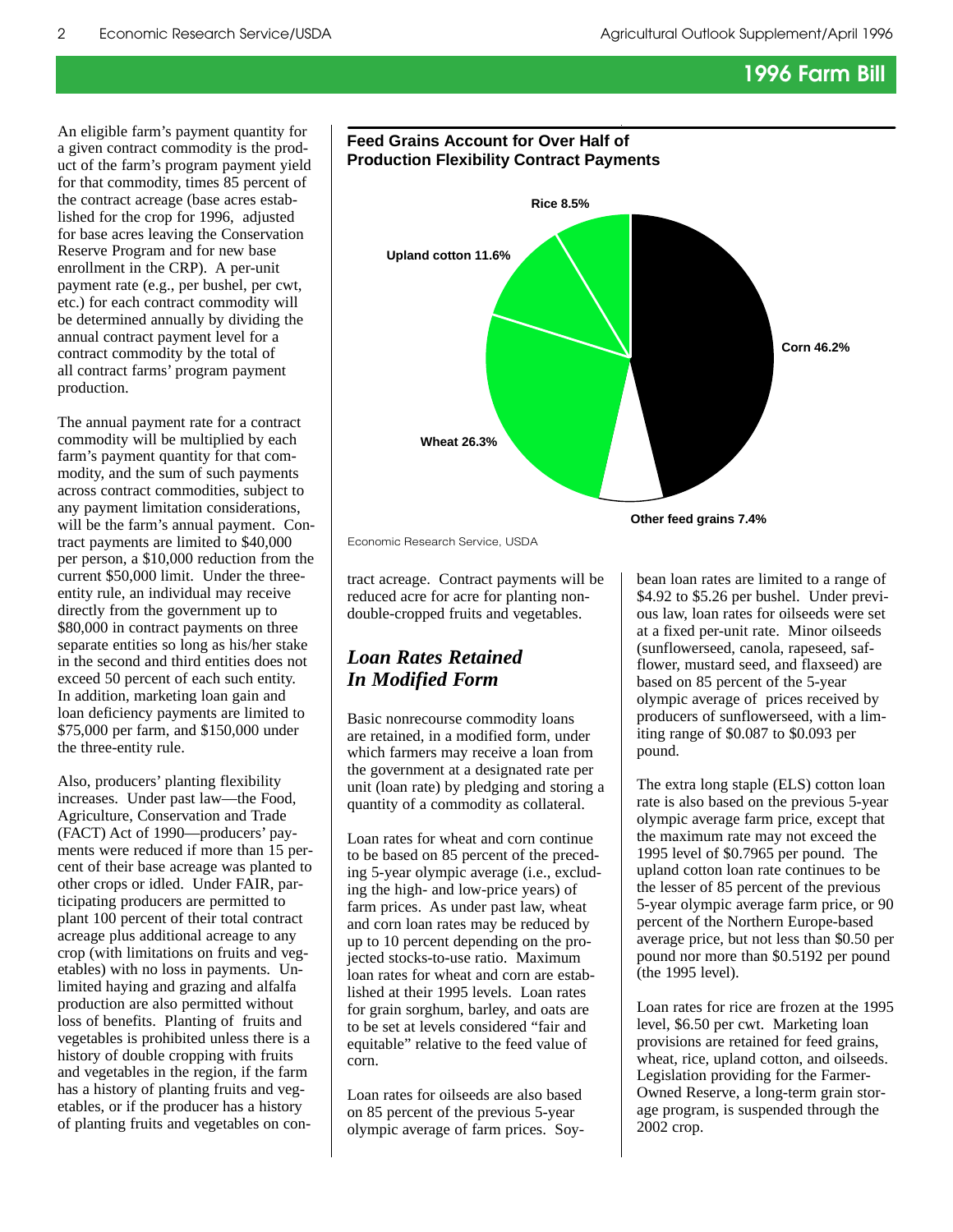An eligible farm's payment quantity for a given contract commodity is the product of the farm's program payment yield for that commodity, times 85 percent of the contract acreage (base acres established for the crop for 1996, adjusted for base acres leaving the Conservation Reserve Program and for new base enrollment in the CRP). A per-unit payment rate (e.g., per bushel, per cwt, etc.) for each contract commodity will be determined annually by dividing the annual contract payment level for a contract commodity by the total of all contract farms' program payment production.

The annual payment rate for a contract commodity will be multiplied by each farm's payment quantity for that commodity, and the sum of such payments across contract commodities, subject to any payment limitation considerations, will be the farm's annual payment. Contract payments are limited to \$40,000 per person, a \$10,000 reduction from the current \$50,000 limit. Under the threeentity rule, an individual may receive directly from the government up to \$80,000 in contract payments on three separate entities so long as his/her stake in the second and third entities does not exceed 50 percent of each such entity. In addition, marketing loan gain and loan deficiency payments are limited to \$75,000 per farm, and \$150,000 under the three-entity rule.

Also, producers' planting flexibility increases. Under past law—the Food, Agriculture, Conservation and Trade (FACT) Act of 1990—producers' payments were reduced if more than 15 percent of their base acreage was planted to other crops or idled. Under FAIR, participating producers are permitted to plant 100 percent of their total contract acreage plus additional acreage to any crop (with limitations on fruits and vegetables) with no loss in payments. Unlimited haying and grazing and alfalfa production are also permitted without loss of benefits. Planting of fruits and vegetables is prohibited unless there is a history of double cropping with fruits and vegetables in the region, if the farm has a history of planting fruits and vegetables, or if the producer has a history of planting fruits and vegetables on con-



### **Feed Grains Account for Over Half of Production Flexibility Contract Payments**

Economic Research Service, USDA

tract acreage. Contract payments will be reduced acre for acre for planting nondouble-cropped fruits and vegetables.

## *Loan Rates Retained In Modified Form*

Basic nonrecourse commodity loans are retained, in a modified form, under which farmers may receive a loan from the government at a designated rate per unit (loan rate) by pledging and storing a quantity of a commodity as collateral.

Loan rates for wheat and corn continue to be based on 85 percent of the preceding 5-year olympic average (i.e., excluding the high- and low-price years) of farm prices. As under past law, wheat and corn loan rates may be reduced by up to 10 percent depending on the projected stocks-to-use ratio. Maximum loan rates for wheat and corn are established at their 1995 levels. Loan rates for grain sorghum, barley, and oats are to be set at levels considered "fair and equitable" relative to the feed value of corn.

Loan rates for oilseeds are also based on 85 percent of the previous 5-year olympic average of farm prices. Soybean loan rates are limited to a range of \$4.92 to \$5.26 per bushel. Under previous law, loan rates for oilseeds were set at a fixed per-unit rate. Minor oilseeds (sunflowerseed, canola, rapeseed, safflower, mustard seed, and flaxseed) are based on 85 percent of the 5-year olympic average of prices received by producers of sunflowerseed, with a limiting range of \$0.087 to \$0.093 per pound.

The extra long staple (ELS) cotton loan rate is also based on the previous 5-year olympic average farm price, except that the maximum rate may not exceed the 1995 level of \$0.7965 per pound. The upland cotton loan rate continues to be the lesser of 85 percent of the previous 5-year olympic average farm price, or 90 percent of the Northern Europe-based average price, but not less than \$0.50 per pound nor more than \$0.5192 per pound (the 1995 level).

Loan rates for rice are frozen at the 1995 level, \$6.50 per cwt. Marketing loan provisions are retained for feed grains, wheat, rice, upland cotton, and oilseeds. Legislation providing for the Farmer-Owned Reserve, a long-term grain storage program, is suspended through the 2002 crop.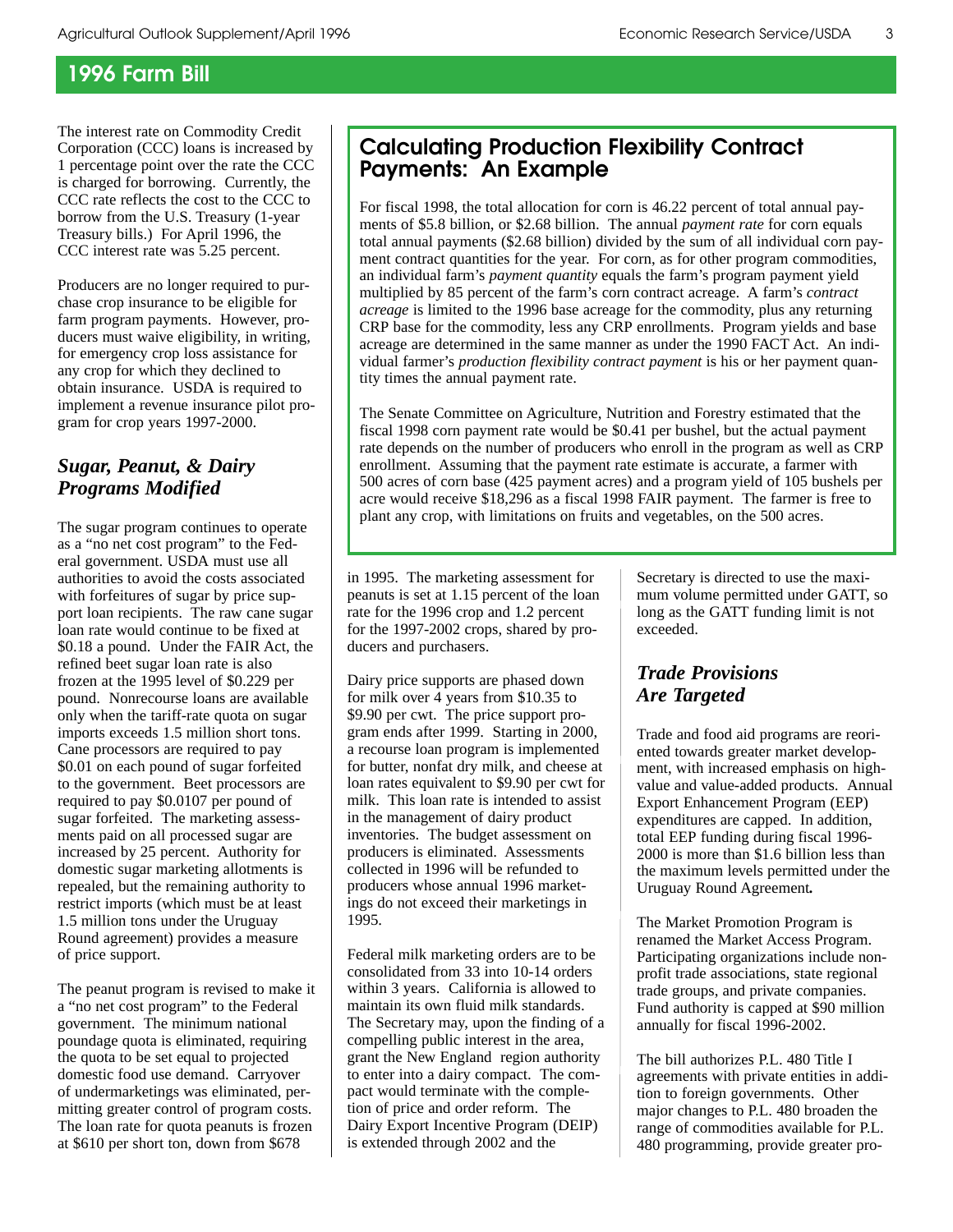The interest rate on Commodity Credit Corporation (CCC) loans is increased by 1 percentage point over the rate the CCC is charged for borrowing. Currently, the CCC rate reflects the cost to the CCC to borrow from the U.S. Treasury (1-year Treasury bills.) For April 1996, the CCC interest rate was 5.25 percent.

Producers are no longer required to purchase crop insurance to be eligible for farm program payments. However, producers must waive eligibility, in writing, for emergency crop loss assistance for any crop for which they declined to obtain insurance. USDA is required to implement a revenue insurance pilot program for crop years 1997-2000.

## *Sugar, Peanut, & Dairy Programs Modified*

The sugar program continues to operate as a "no net cost program" to the Federal government. USDA must use all authorities to avoid the costs associated with forfeitures of sugar by price support loan recipients. The raw cane sugar loan rate would continue to be fixed at \$0.18 a pound. Under the FAIR Act, the refined beet sugar loan rate is also frozen at the 1995 level of \$0.229 per pound. Nonrecourse loans are available only when the tariff-rate quota on sugar imports exceeds 1.5 million short tons. Cane processors are required to pay \$0.01 on each pound of sugar forfeited to the government. Beet processors are required to pay \$0.0107 per pound of sugar forfeited. The marketing assessments paid on all processed sugar are increased by 25 percent. Authority for domestic sugar marketing allotments is repealed, but the remaining authority to restrict imports (which must be at least 1.5 million tons under the Uruguay Round agreement) provides a measure of price support.

The peanut program is revised to make it a "no net cost program" to the Federal government. The minimum national poundage quota is eliminated, requiring the quota to be set equal to projected domestic food use demand. Carryover of undermarketings was eliminated, permitting greater control of program costs. The loan rate for quota peanuts is frozen at \$610 per short ton, down from \$678

## **Calculating Production Flexibility Contract Payments: An Example**

For fiscal 1998, the total allocation for corn is 46.22 percent of total annual payments of \$5.8 billion, or \$2.68 billion. The annual *payment rate* for corn equals total annual payments (\$2.68 billion) divided by the sum of all individual corn payment contract quantities for the year. For corn, as for other program commodities, an individual farm's *payment quantity* equals the farm's program payment yield multiplied by 85 percent of the farm's corn contract acreage. A farm's *contract acreage* is limited to the 1996 base acreage for the commodity, plus any returning CRP base for the commodity, less any CRP enrollments. Program yields and base acreage are determined in the same manner as under the 1990 FACT Act. An individual farmer's *production flexibility contract payment* is his or her payment quantity times the annual payment rate.

The Senate Committee on Agriculture, Nutrition and Forestry estimated that the fiscal 1998 corn payment rate would be \$0.41 per bushel, but the actual payment rate depends on the number of producers who enroll in the program as well as CRP enrollment. Assuming that the payment rate estimate is accurate, a farmer with 500 acres of corn base (425 payment acres) and a program yield of 105 bushels per acre would receive \$18,296 as a fiscal 1998 FAIR payment. The farmer is free to plant any crop, with limitations on fruits and vegetables, on the 500 acres.

in 1995. The marketing assessment for peanuts is set at 1.15 percent of the loan rate for the 1996 crop and 1.2 percent for the 1997-2002 crops, shared by producers and purchasers.

Dairy price supports are phased down for milk over 4 years from \$10.35 to \$9.90 per cwt. The price support program ends after 1999. Starting in 2000, a recourse loan program is implemented for butter, nonfat dry milk, and cheese at loan rates equivalent to \$9.90 per cwt for milk. This loan rate is intended to assist in the management of dairy product inventories. The budget assessment on producers is eliminated. Assessments collected in 1996 will be refunded to producers whose annual 1996 marketings do not exceed their marketings in 1995.

Federal milk marketing orders are to be consolidated from 33 into 10-14 orders within 3 years. California is allowed to maintain its own fluid milk standards. The Secretary may, upon the finding of a compelling public interest in the area, grant the New England region authority to enter into a dairy compact. The compact would terminate with the completion of price and order reform. The Dairy Export Incentive Program (DEIP) is extended through 2002 and the

Secretary is directed to use the maximum volume permitted under GATT, so long as the GATT funding limit is not exceeded.

## *Trade Provisions Are Targeted*

Trade and food aid programs are reoriented towards greater market development, with increased emphasis on highvalue and value-added products. Annual Export Enhancement Program (EEP) expenditures are capped. In addition, total EEP funding during fiscal 1996- 2000 is more than \$1.6 billion less than the maximum levels permitted under the Uruguay Round Agreement*.* 

The Market Promotion Program is renamed the Market Access Program. Participating organizations include nonprofit trade associations, state regional trade groups, and private companies. Fund authority is capped at \$90 million annually for fiscal 1996-2002.

The bill authorizes P.L. 480 Title I agreements with private entities in addition to foreign governments. Other major changes to P.L. 480 broaden the range of commodities available for P.L. 480 programming, provide greater pro-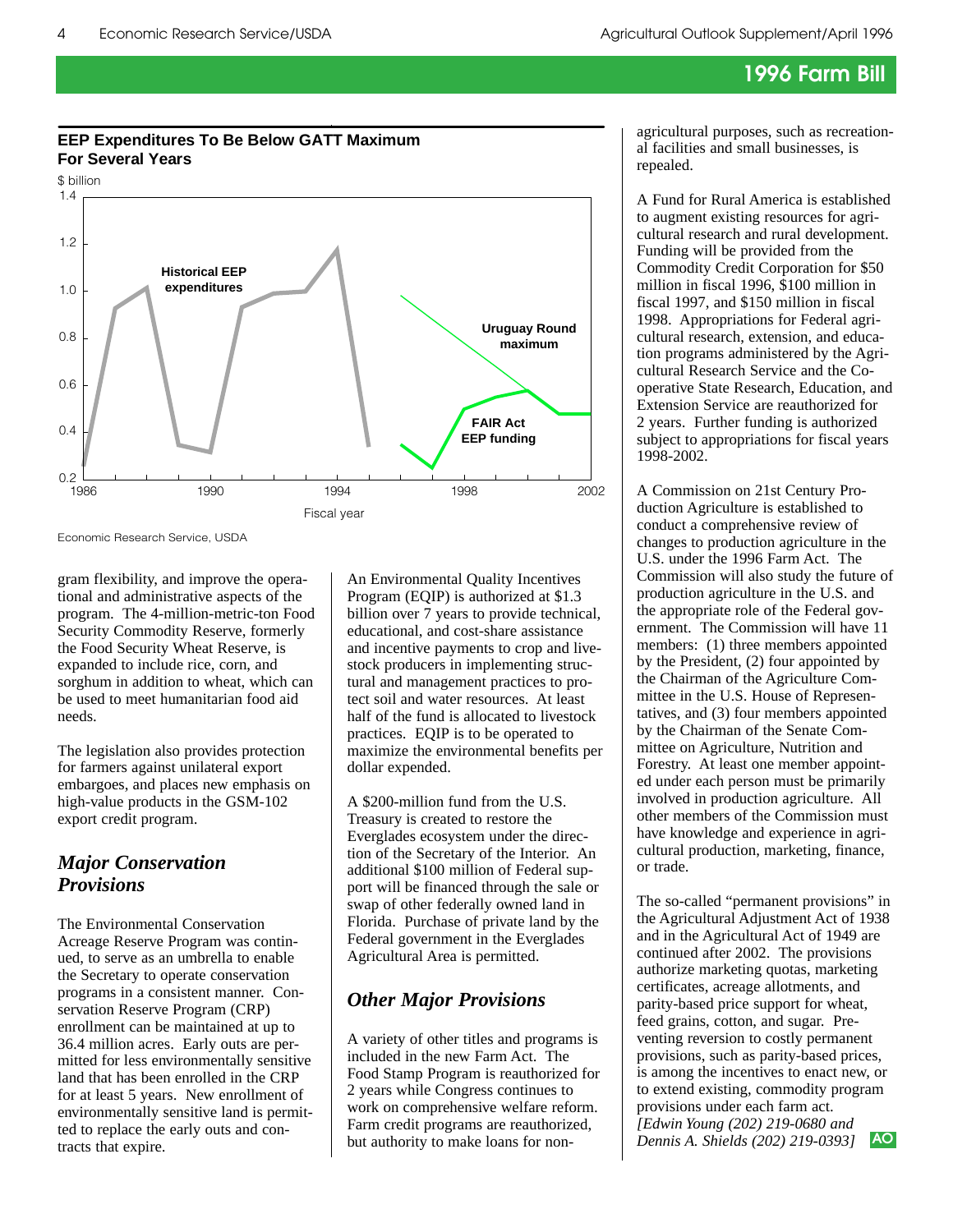## **EEP Expenditures To Be Below GATT Maximum For Several Years**



Economic Research Service, USDA

gram flexibility, and improve the operational and administrative aspects of the program. The 4-million-metric-ton Food Security Commodity Reserve, formerly the Food Security Wheat Reserve, is expanded to include rice, corn, and sorghum in addition to wheat, which can be used to meet humanitarian food aid needs.

The legislation also provides protection for farmers against unilateral export embargoes, and places new emphasis on high-value products in the GSM-102 export credit program.

## *Major Conservation Provisions*

The Environmental Conservation Acreage Reserve Program was continued, to serve as an umbrella to enable the Secretary to operate conservation programs in a consistent manner. Conservation Reserve Program (CRP) enrollment can be maintained at up to 36.4 million acres. Early outs are permitted for less environmentally sensitive land that has been enrolled in the CRP for at least 5 years. New enrollment of environmentally sensitive land is permitted to replace the early outs and contracts that expire.

An Environmental Quality Incentives Program (EQIP) is authorized at \$1.3 billion over 7 years to provide technical, educational, and cost-share assistance and incentive payments to crop and livestock producers in implementing structural and management practices to protect soil and water resources. At least half of the fund is allocated to livestock practices. EQIP is to be operated to maximize the environmental benefits per dollar expended.

A \$200-million fund from the U.S. Treasury is created to restore the Everglades ecosystem under the direction of the Secretary of the Interior. An additional \$100 million of Federal support will be financed through the sale or swap of other federally owned land in Florida. Purchase of private land by the Federal government in the Everglades Agricultural Area is permitted.

## *Other Major Provisions*

A variety of other titles and programs is included in the new Farm Act. The Food Stamp Program is reauthorized for 2 years while Congress continues to work on comprehensive welfare reform. Farm credit programs are reauthorized, but authority to make loans for nonagricultural purposes, such as recreational facilities and small businesses, is repealed.

A Fund for Rural America is established to augment existing resources for agricultural research and rural development. Funding will be provided from the Commodity Credit Corporation for \$50 million in fiscal 1996, \$100 million in fiscal 1997, and \$150 million in fiscal 1998. Appropriations for Federal agricultural research, extension, and education programs administered by the Agricultural Research Service and the Cooperative State Research, Education, and Extension Service are reauthorized for 2 years. Further funding is authorized subject to appropriations for fiscal years 1998-2002.

A Commission on 21st Century Production Agriculture is established to conduct a comprehensive review of changes to production agriculture in the U.S. under the 1996 Farm Act. The Commission will also study the future of production agriculture in the U.S. and the appropriate role of the Federal government. The Commission will have 11 members: (1) three members appointed by the President, (2) four appointed by the Chairman of the Agriculture Committee in the U.S. House of Representatives, and (3) four members appointed by the Chairman of the Senate Committee on Agriculture, Nutrition and Forestry. At least one member appointed under each person must be primarily involved in production agriculture. All other members of the Commission must have knowledge and experience in agricultural production, marketing, finance, or trade.

The so-called "permanent provisions" in the Agricultural Adjustment Act of 1938 and in the Agricultural Act of 1949 are continued after 2002. The provisions authorize marketing quotas, marketing certificates, acreage allotments, and parity-based price support for wheat, feed grains, cotton, and sugar. Preventing reversion to costly permanent provisions, such as parity-based prices, is among the incentives to enact new, or to extend existing, commodity program provisions under each farm act. *[Edwin Young (202) 219-0680 and Dennis A. Shields (202) 219-0393]* **AO**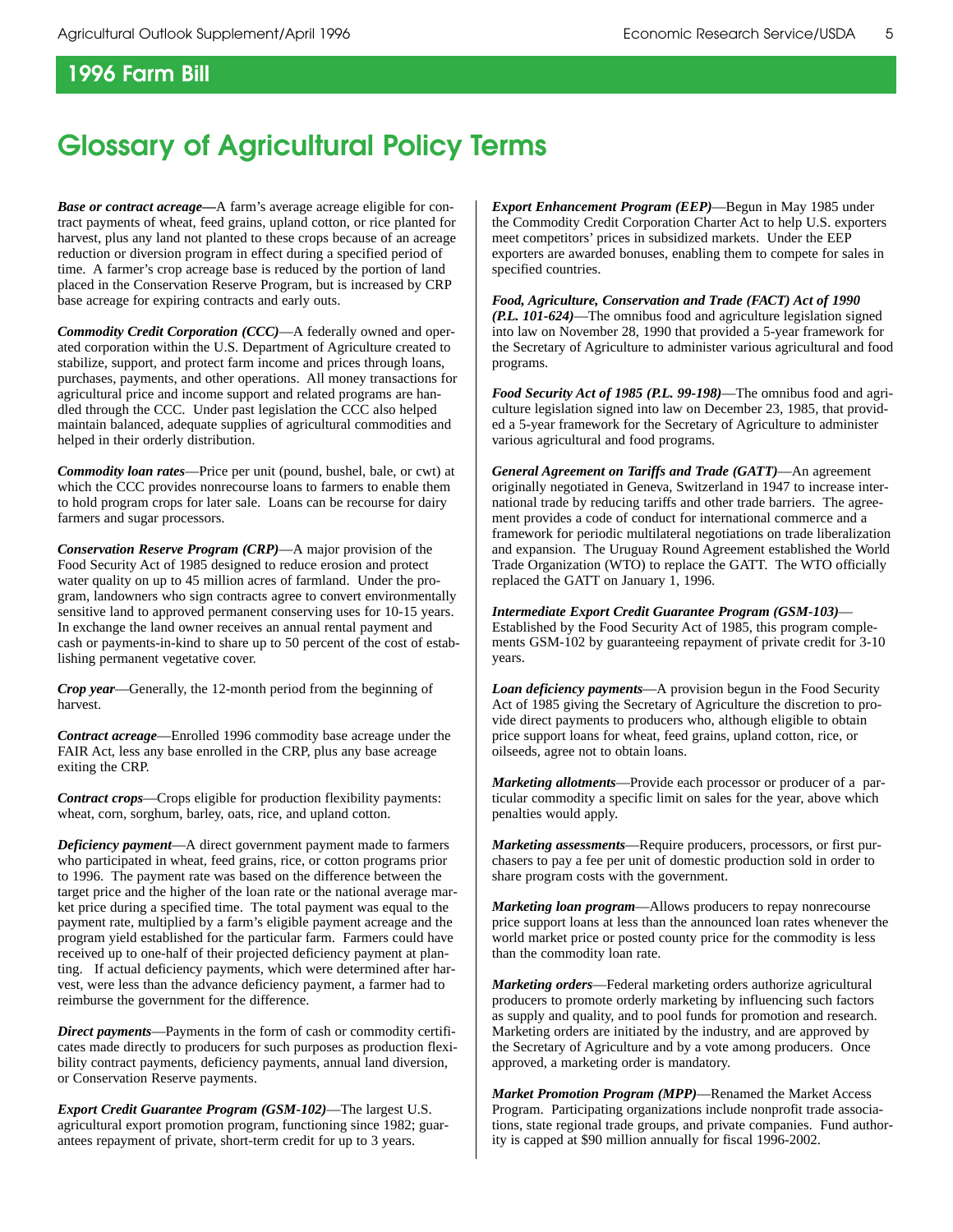# **Glossary of Agricultural Policy Terms**

*Base or contract acreage—*A farm's average acreage eligible for contract payments of wheat, feed grains, upland cotton, or rice planted for harvest, plus any land not planted to these crops because of an acreage reduction or diversion program in effect during a specified period of time. A farmer's crop acreage base is reduced by the portion of land placed in the Conservation Reserve Program, but is increased by CRP base acreage for expiring contracts and early outs.

*Commodity Credit Corporation (CCC)*—A federally owned and operated corporation within the U.S. Department of Agriculture created to stabilize, support, and protect farm income and prices through loans, purchases, payments, and other operations. All money transactions for agricultural price and income support and related programs are handled through the CCC. Under past legislation the CCC also helped maintain balanced, adequate supplies of agricultural commodities and helped in their orderly distribution.

*Commodity loan rates*—Price per unit (pound, bushel, bale, or cwt) at which the CCC provides nonrecourse loans to farmers to enable them to hold program crops for later sale. Loans can be recourse for dairy farmers and sugar processors.

*Conservation Reserve Program (CRP)*—A major provision of the Food Security Act of 1985 designed to reduce erosion and protect water quality on up to 45 million acres of farmland. Under the program, landowners who sign contracts agree to convert environmentally sensitive land to approved permanent conserving uses for 10-15 years. In exchange the land owner receives an annual rental payment and cash or payments-in-kind to share up to 50 percent of the cost of establishing permanent vegetative cover.

*Crop year*—Generally, the 12-month period from the beginning of harvest.

*Contract acreage*—Enrolled 1996 commodity base acreage under the FAIR Act, less any base enrolled in the CRP, plus any base acreage exiting the CRP.

*Contract crops*—Crops eligible for production flexibility payments: wheat, corn, sorghum, barley, oats, rice, and upland cotton.

*Deficiency payment*—A direct government payment made to farmers who participated in wheat, feed grains, rice, or cotton programs prior to 1996. The payment rate was based on the difference between the target price and the higher of the loan rate or the national average market price during a specified time. The total payment was equal to the payment rate, multiplied by a farm's eligible payment acreage and the program yield established for the particular farm. Farmers could have received up to one-half of their projected deficiency payment at planting. If actual deficiency payments, which were determined after harvest, were less than the advance deficiency payment, a farmer had to reimburse the government for the difference.

*Direct payments*—Payments in the form of cash or commodity certificates made directly to producers for such purposes as production flexibility contract payments, deficiency payments, annual land diversion, or Conservation Reserve payments.

*Export Credit Guarantee Program (GSM-102)*—The largest U.S. agricultural export promotion program, functioning since 1982; guarantees repayment of private, short-term credit for up to 3 years.

*Export Enhancement Program (EEP)*—Begun in May 1985 under the Commodity Credit Corporation Charter Act to help U.S. exporters meet competitors' prices in subsidized markets. Under the EEP exporters are awarded bonuses, enabling them to compete for sales in specified countries.

*Food, Agriculture, Conservation and Trade (FACT) Act of 1990 (P.L. 101-624)*—The omnibus food and agriculture legislation signed into law on November 28, 1990 that provided a 5-year framework for the Secretary of Agriculture to administer various agricultural and food programs.

*Food Security Act of 1985 (P.L. 99-198)*—The omnibus food and agriculture legislation signed into law on December 23, 1985, that provided a 5-year framework for the Secretary of Agriculture to administer various agricultural and food programs.

*General Agreement on Tariffs and Trade (GATT)*—An agreement originally negotiated in Geneva, Switzerland in 1947 to increase international trade by reducing tariffs and other trade barriers. The agreement provides a code of conduct for international commerce and a framework for periodic multilateral negotiations on trade liberalization and expansion. The Uruguay Round Agreement established the World Trade Organization (WTO) to replace the GATT. The WTO officially replaced the GATT on January 1, 1996.

*Intermediate Export Credit Guarantee Program (GSM-103)*—

Established by the Food Security Act of 1985, this program complements GSM-102 by guaranteeing repayment of private credit for 3-10 years.

*Loan deficiency payments*—A provision begun in the Food Security Act of 1985 giving the Secretary of Agriculture the discretion to provide direct payments to producers who, although eligible to obtain price support loans for wheat, feed grains, upland cotton, rice, or oilseeds, agree not to obtain loans.

*Marketing allotments*—Provide each processor or producer of a particular commodity a specific limit on sales for the year, above which penalties would apply.

*Marketing assessments*—Require producers, processors, or first purchasers to pay a fee per unit of domestic production sold in order to share program costs with the government.

*Marketing loan program*—Allows producers to repay nonrecourse price support loans at less than the announced loan rates whenever the world market price or posted county price for the commodity is less than the commodity loan rate.

*Marketing orders*—Federal marketing orders authorize agricultural producers to promote orderly marketing by influencing such factors as supply and quality, and to pool funds for promotion and research. Marketing orders are initiated by the industry, and are approved by the Secretary of Agriculture and by a vote among producers. Once approved, a marketing order is mandatory.

*Market Promotion Program (MPP)*—Renamed the Market Access Program. Participating organizations include nonprofit trade associations, state regional trade groups, and private companies. Fund authority is capped at \$90 million annually for fiscal 1996-2002.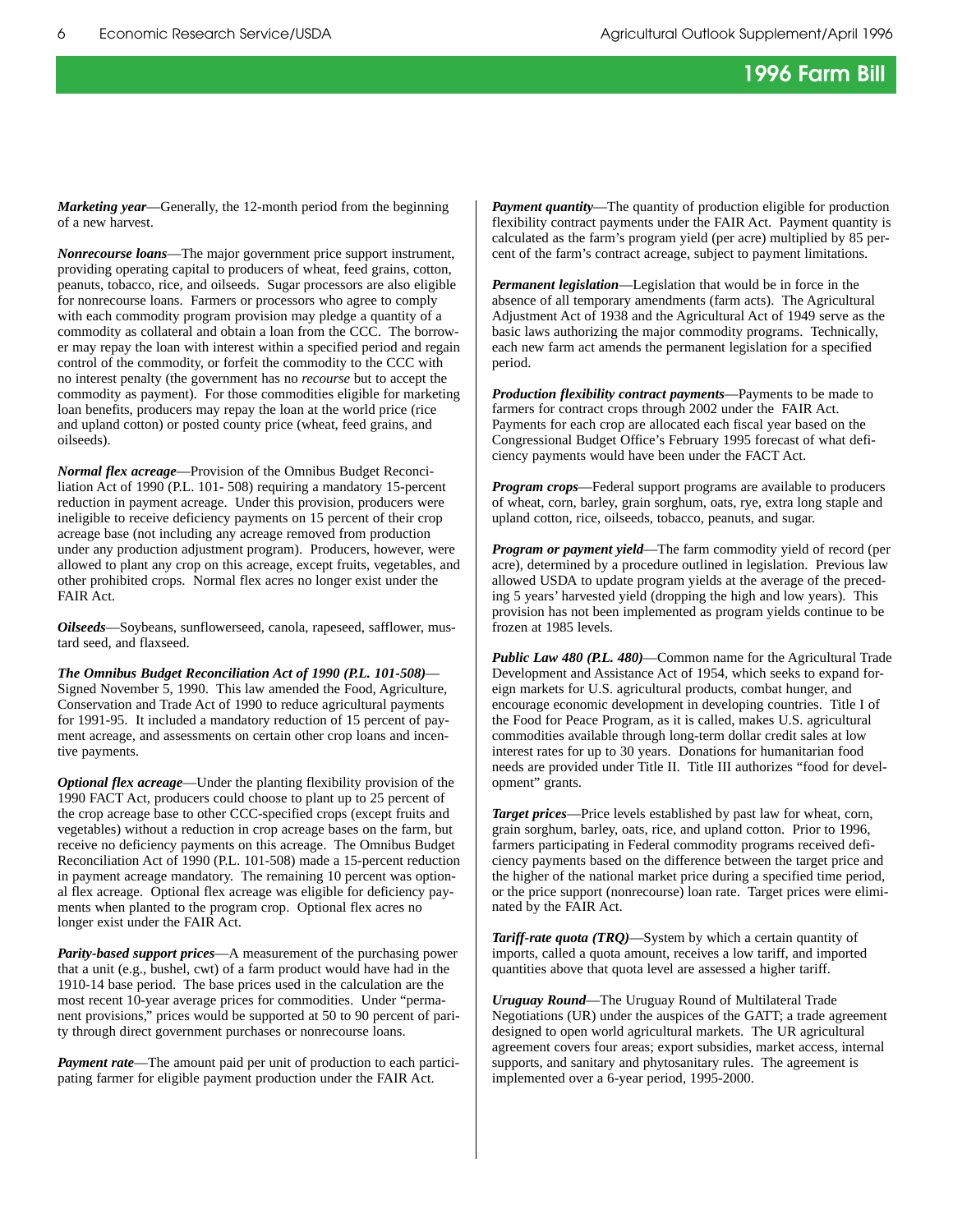*Marketing year*—Generally, the 12-month period from the beginning of a new harvest.

*Nonrecourse loans*—The major government price support instrument, providing operating capital to producers of wheat, feed grains, cotton, peanuts, tobacco, rice, and oilseeds. Sugar processors are also eligible for nonrecourse loans. Farmers or processors who agree to comply with each commodity program provision may pledge a quantity of a commodity as collateral and obtain a loan from the CCC. The borrower may repay the loan with interest within a specified period and regain control of the commodity, or forfeit the commodity to the CCC with no interest penalty (the government has no *recourse* but to accept the commodity as payment). For those commodities eligible for marketing loan benefits, producers may repay the loan at the world price (rice and upland cotton) or posted county price (wheat, feed grains, and oilseeds).

*Normal flex acreage*—Provision of the Omnibus Budget Reconciliation Act of 1990 (P.L. 101- 508) requiring a mandatory 15-percent reduction in payment acreage. Under this provision, producers were ineligible to receive deficiency payments on 15 percent of their crop acreage base (not including any acreage removed from production under any production adjustment program). Producers, however, were allowed to plant any crop on this acreage, except fruits, vegetables, and other prohibited crops. Normal flex acres no longer exist under the FAIR Act.

*Oilseeds*—Soybeans, sunflowerseed, canola, rapeseed, safflower, mustard seed, and flaxseed.

*The Omnibus Budget Reconciliation Act of 1990 (P.L. 101-508)*— Signed November 5, 1990. This law amended the Food, Agriculture, Conservation and Trade Act of 1990 to reduce agricultural payments for 1991-95. It included a mandatory reduction of 15 percent of payment acreage, and assessments on certain other crop loans and incentive payments.

*Optional flex acreage*—Under the planting flexibility provision of the 1990 FACT Act, producers could choose to plant up to 25 percent of the crop acreage base to other CCC-specified crops (except fruits and vegetables) without a reduction in crop acreage bases on the farm, but receive no deficiency payments on this acreage. The Omnibus Budget Reconciliation Act of 1990 (P.L. 101-508) made a 15-percent reduction in payment acreage mandatory. The remaining 10 percent was optional flex acreage. Optional flex acreage was eligible for deficiency payments when planted to the program crop. Optional flex acres no longer exist under the FAIR Act.

*Parity-based support prices*—A measurement of the purchasing power that a unit (e.g., bushel, cwt) of a farm product would have had in the 1910-14 base period. The base prices used in the calculation are the most recent 10-year average prices for commodities. Under "permanent provisions," prices would be supported at 50 to 90 percent of parity through direct government purchases or nonrecourse loans.

*Payment rate*—The amount paid per unit of production to each participating farmer for eligible payment production under the FAIR Act.

*Payment quantity*—The quantity of production eligible for production flexibility contract payments under the FAIR Act. Payment quantity is calculated as the farm's program yield (per acre) multiplied by 85 percent of the farm's contract acreage, subject to payment limitations.

*Permanent legislation*—Legislation that would be in force in the absence of all temporary amendments (farm acts). The Agricultural Adjustment Act of 1938 and the Agricultural Act of 1949 serve as the basic laws authorizing the major commodity programs. Technically, each new farm act amends the permanent legislation for a specified period.

*Production flexibility contract payments*—Payments to be made to farmers for contract crops through 2002 under the FAIR Act. Payments for each crop are allocated each fiscal year based on the Congressional Budget Office's February 1995 forecast of what deficiency payments would have been under the FACT Act.

*Program crops*—Federal support programs are available to producers of wheat, corn, barley, grain sorghum, oats, rye, extra long staple and upland cotton, rice, oilseeds, tobacco, peanuts, and sugar.

*Program or payment yield*—The farm commodity yield of record (per acre), determined by a procedure outlined in legislation. Previous law allowed USDA to update program yields at the average of the preceding 5 years' harvested yield (dropping the high and low years). This provision has not been implemented as program yields continue to be frozen at 1985 levels.

*Public Law 480 (P.L. 480)*—Common name for the Agricultural Trade Development and Assistance Act of 1954, which seeks to expand foreign markets for U.S. agricultural products, combat hunger, and encourage economic development in developing countries. Title I of the Food for Peace Program, as it is called, makes U.S. agricultural commodities available through long-term dollar credit sales at low interest rates for up to 30 years. Donations for humanitarian food needs are provided under Title II. Title III authorizes "food for development" grants.

*Target prices*—Price levels established by past law for wheat, corn, grain sorghum, barley, oats, rice, and upland cotton. Prior to 1996, farmers participating in Federal commodity programs received deficiency payments based on the difference between the target price and the higher of the national market price during a specified time period, or the price support (nonrecourse) loan rate. Target prices were eliminated by the FAIR Act.

*Tariff-rate quota (TRQ)*—System by which a certain quantity of imports, called a quota amount, receives a low tariff, and imported quantities above that quota level are assessed a higher tariff.

*Uruguay Round*—The Uruguay Round of Multilateral Trade Negotiations (UR) under the auspices of the GATT; a trade agreement designed to open world agricultural markets. The UR agricultural agreement covers four areas; export subsidies, market access, internal supports, and sanitary and phytosanitary rules. The agreement is implemented over a 6-year period, 1995-2000.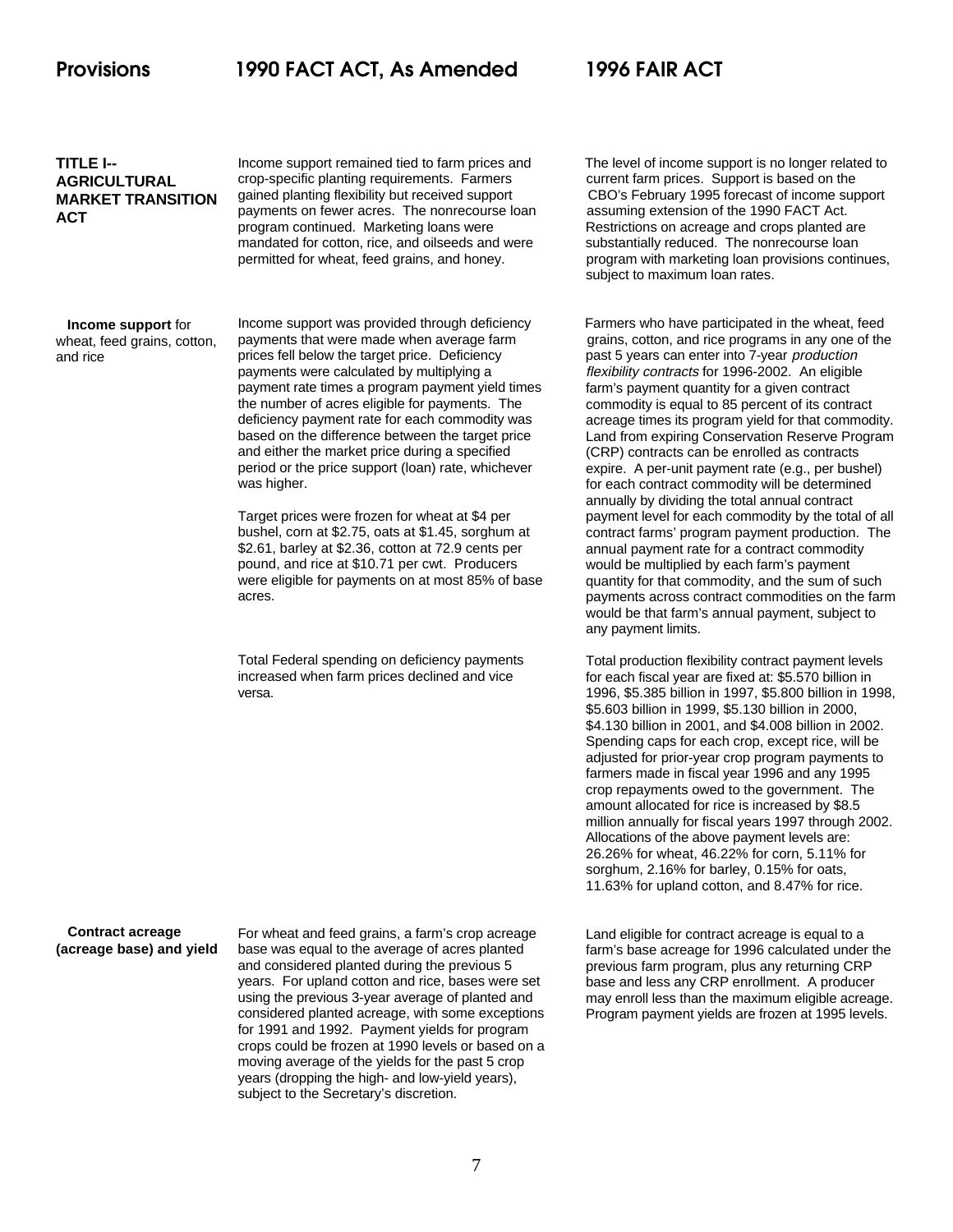### **TITLE I-- AGRICULTURAL MARKET TRANSITION ACT**

crop-specific planting requirements. Farmers payments on fewer acres. The nonrecourse loan assuming extension of the 1990 FACT Act. program continued. Marketing loans were Restrictions on acreage and crops planted are mandated for cotton, rice, and oilseeds and were substantially reduced. The nonrecourse loan

### **Income support** for wheat, feed grains, cotton, and rice

prices fell below the target price. Deficiency past 5 years can enter into 7-year production payments were calculated by multiplying a payment rate times a program payment yield times the number of acres eligible for payments. The deficiency payment rate for each commodity was based on the difference between the target price and either the market price during a specified period or the price support (loan) rate, whichever was higher.

Target prices were frozen for wheat at \$4 per bushel, corn at \$2.75, oats at \$1.45, sorghum at \$2.61, barley at \$2.36, cotton at 72.9 cents per pound, and rice at \$10.71 per cwt. Producers were eligible for payments on at most 85% of base acres.

Total Federal spending on deficiency payments increased when farm prices declined and vice versa.

Income support remained tied to farm prices and The level of income support is no longer related to crop-specific planting requirements. Farmers current farm prices. Support is based on the gained planting flexibility but received support CBO's February 1995 forecast of income support permitted for wheat, feed grains, and honey. program with marketing loan provisions continues, subject to maximum loan rates.

Income support was provided through deficiency Farmers who have participated in the wheat, feed payments that were made when average farm grains, cotton, and rice programs in any one of the flexibility contracts for 1996-2002. An eligible farm's payment quantity for a given contract commodity is equal to 85 percent of its contract acreage times its program yield for that commodity. Land from expiring Conservation Reserve Program (CRP) contracts can be enrolled as contracts expire. A per-unit payment rate (e.g., per bushel) for each contract commodity will be determined annually by dividing the total annual contract payment level for each commodity by the total of all contract farms' program payment production. The annual payment rate for a contract commodity would be multiplied by each farm's payment quantity for that commodity, and the sum of such payments across contract commodities on the farm would be that farm's annual payment, subject to any payment limits.

> Total production flexibility contract payment levels for each fiscal year are fixed at: \$5.570 billion in 1996, \$5.385 billion in 1997, \$5.800 billion in 1998, \$5.603 billion in 1999, \$5.130 billion in 2000, \$4.130 billion in 2001, and \$4.008 billion in 2002. Spending caps for each crop, except rice, will be adjusted for prior-year crop program payments to farmers made in fiscal year 1996 and any 1995 crop repayments owed to the government. The amount allocated for rice is increased by \$8.5 million annually for fiscal years 1997 through 2002. Allocations of the above payment levels are: 26.26% for wheat, 46.22% for corn, 5.11% for sorghum, 2.16% for barley, 0.15% for oats, 11.63% for upland cotton, and 8.47% for rice.

 **Contract acreage (acreage base) and yield**

For wheat and feed grains, a farm's crop acreage base was equal to the average of acres planted and considered planted during the previous 5 years. For upland cotton and rice, bases were set using the previous 3-year average of planted and considered planted acreage, with some exceptions for 1991 and 1992. Payment yields for program crops could be frozen at 1990 levels or based on a moving average of the yields for the past 5 crop years (dropping the high- and low-yield years), subject to the Secretary's discretion.

Land eligible for contract acreage is equal to a farm's base acreage for 1996 calculated under the previous farm program, plus any returning CRP base and less any CRP enrollment. A producer may enroll less than the maximum eligible acreage. Program payment yields are frozen at 1995 levels.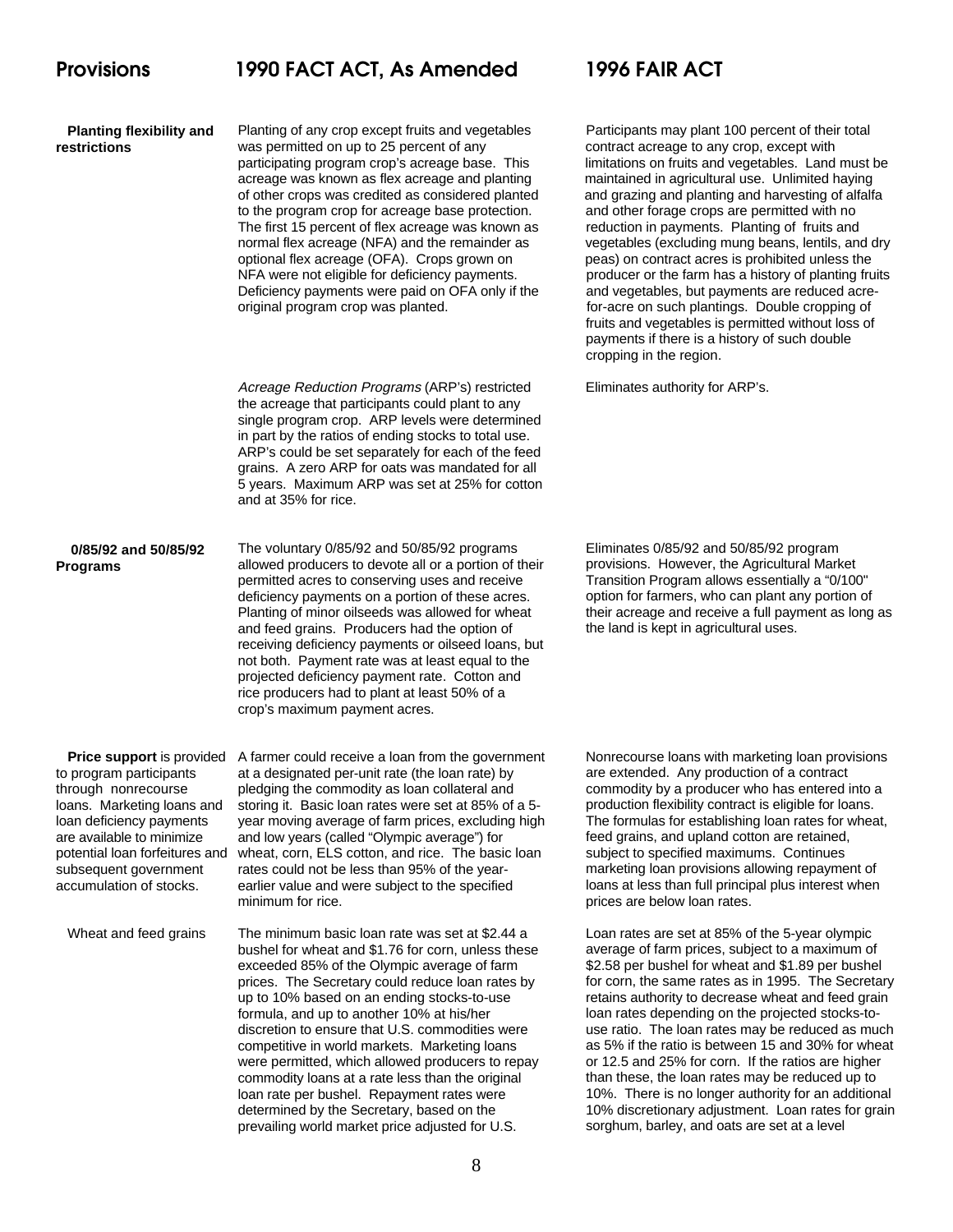| <b>Planting flexibility and</b><br>restrictions                                                                                                                                                                             | Planting of any crop except fruits and vegetables<br>was permitted on up to 25 percent of any<br>participating program crop's acreage base. This<br>acreage was known as flex acreage and planting<br>of other crops was credited as considered planted<br>to the program crop for acreage base protection.<br>The first 15 percent of flex acreage was known as<br>normal flex acreage (NFA) and the remainder as<br>optional flex acreage (OFA). Crops grown on<br>NFA were not eligible for deficiency payments.<br>Deficiency payments were paid on OFA only if the<br>original program crop was planted.                                                 | Participants ma<br>contract acrea<br>limitations on fr<br>maintained in a<br>and grazing an<br>and other forac<br>reduction in pa<br>vegetables (ex<br>peas) on contra<br>producer or the<br>and vegetables<br>for-acre on sud<br>fruits and vege<br>payments if the<br>cropping in the |
|-----------------------------------------------------------------------------------------------------------------------------------------------------------------------------------------------------------------------------|---------------------------------------------------------------------------------------------------------------------------------------------------------------------------------------------------------------------------------------------------------------------------------------------------------------------------------------------------------------------------------------------------------------------------------------------------------------------------------------------------------------------------------------------------------------------------------------------------------------------------------------------------------------|-----------------------------------------------------------------------------------------------------------------------------------------------------------------------------------------------------------------------------------------------------------------------------------------|
|                                                                                                                                                                                                                             | Acreage Reduction Programs (ARP's) restricted<br>the acreage that participants could plant to any<br>single program crop. ARP levels were determined<br>in part by the ratios of ending stocks to total use.<br>ARP's could be set separately for each of the feed<br>grains. A zero ARP for oats was mandated for all<br>5 years. Maximum ARP was set at 25% for cotton<br>and at 35% for rice.                                                                                                                                                                                                                                                              | Eliminates auth                                                                                                                                                                                                                                                                         |
| 0/85/92 and 50/85/92<br><b>Programs</b>                                                                                                                                                                                     | The voluntary 0/85/92 and 50/85/92 programs<br>allowed producers to devote all or a portion of their<br>permitted acres to conserving uses and receive<br>deficiency payments on a portion of these acres.<br>Planting of minor oilseeds was allowed for wheat<br>and feed grains. Producers had the option of<br>receiving deficiency payments or oilseed loans, but<br>not both. Payment rate was at least equal to the<br>projected deficiency payment rate. Cotton and<br>rice producers had to plant at least 50% of a<br>crop's maximum payment acres.                                                                                                  | Eliminates 0/85<br>provisions. Ho<br><b>Transition Proc</b><br>option for farm<br>their acreage a<br>the land is kept                                                                                                                                                                   |
| to program participants<br>through nonrecourse<br>loans. Marketing loans and<br>loan deficiency payments<br>are available to minimize<br>potential loan forfeitures and<br>subsequent government<br>accumulation of stocks. | <b>Price support</b> is provided A farmer could receive a loan from the government<br>at a designated per-unit rate (the loan rate) by<br>pledging the commodity as loan collateral and<br>storing it. Basic loan rates were set at 85% of a 5-<br>year moving average of farm prices, excluding high<br>and low years (called "Olympic average") for<br>wheat, corn, ELS cotton, and rice. The basic loan<br>rates could not be less than 95% of the year-<br>earlier value and were subject to the specified<br>minimum for rice.                                                                                                                           | Nonrecourse Ic<br>are extended.<br>commodity by a<br>production flexi<br>The formulas fo<br>feed grains, an<br>subject to spec<br>marketing loan<br>loans at less th<br>prices are belo                                                                                                 |
| Wheat and feed grains                                                                                                                                                                                                       | The minimum basic loan rate was set at \$2.44 a<br>bushel for wheat and \$1.76 for corn, unless these<br>exceeded 85% of the Olympic average of farm<br>prices. The Secretary could reduce loan rates by<br>up to 10% based on an ending stocks-to-use<br>formula, and up to another 10% at his/her<br>discretion to ensure that U.S. commodities were<br>competitive in world markets. Marketing loans<br>were permitted, which allowed producers to repay<br>commodity loans at a rate less than the original<br>loan rate per bushel. Repayment rates were<br>determined by the Secretary, based on the<br>prevailing world market price adjusted for U.S. | Loan rates are<br>average of farn<br>\$2.58 per bush<br>for corn, the sa<br>retains authorit<br>loan rates depe<br>use ratio. The<br>as 5% if the rat<br>or 12.5 and 25<br>than these, the<br>10%. There is<br>10% discretion<br>sorghum, barle                                         |

ay plant 100 percent of their total ge to any crop, except with ruits and vegetables. Land must be. acricultural use. Unlimited haying d planting and harvesting of alfalfa ge crops are permitted with no yments. Planting of fruits and cluding mung beans, lentils, and dry act acres is prohibited unless the e farm has a history of planting fruits. s, but payments are reduced acrech plantings. Double cropping of tables is permitted without loss of ere is a history of such double region.

**Programs Reduction Programs (ARP's)** 

5/92 and 50/85/92 program wever, the Agricultural Market Tram allows essentially a "0/100" ers, who can plant any portion of Ind receive a full payment as long as in agricultural uses.

bans with marketing loan provisions Any production of a contract a producer who has entered into a ibility contract is eligible for loans. or establishing loan rates for wheat, d upland cotton are retained, cified maximums. Continues provisions allowing repayment of ian full principal plus interest when w loan rates.

set at 85% of the 5-year olympic n prices, subject to a maximum of el for wheat and \$1.89 per bushel ime rates as in 1995. The Secretary y to decrease wheat and feed grain ending on the projected stocks-toloan rates may be reduced as much tio is between 15 and 30% for wheat % for corn. If the ratios are higher loan rates may be reduced up to no longer authority for an additional ary adjustment. Loan rates for grain sorghum, barley, and oats are set at a level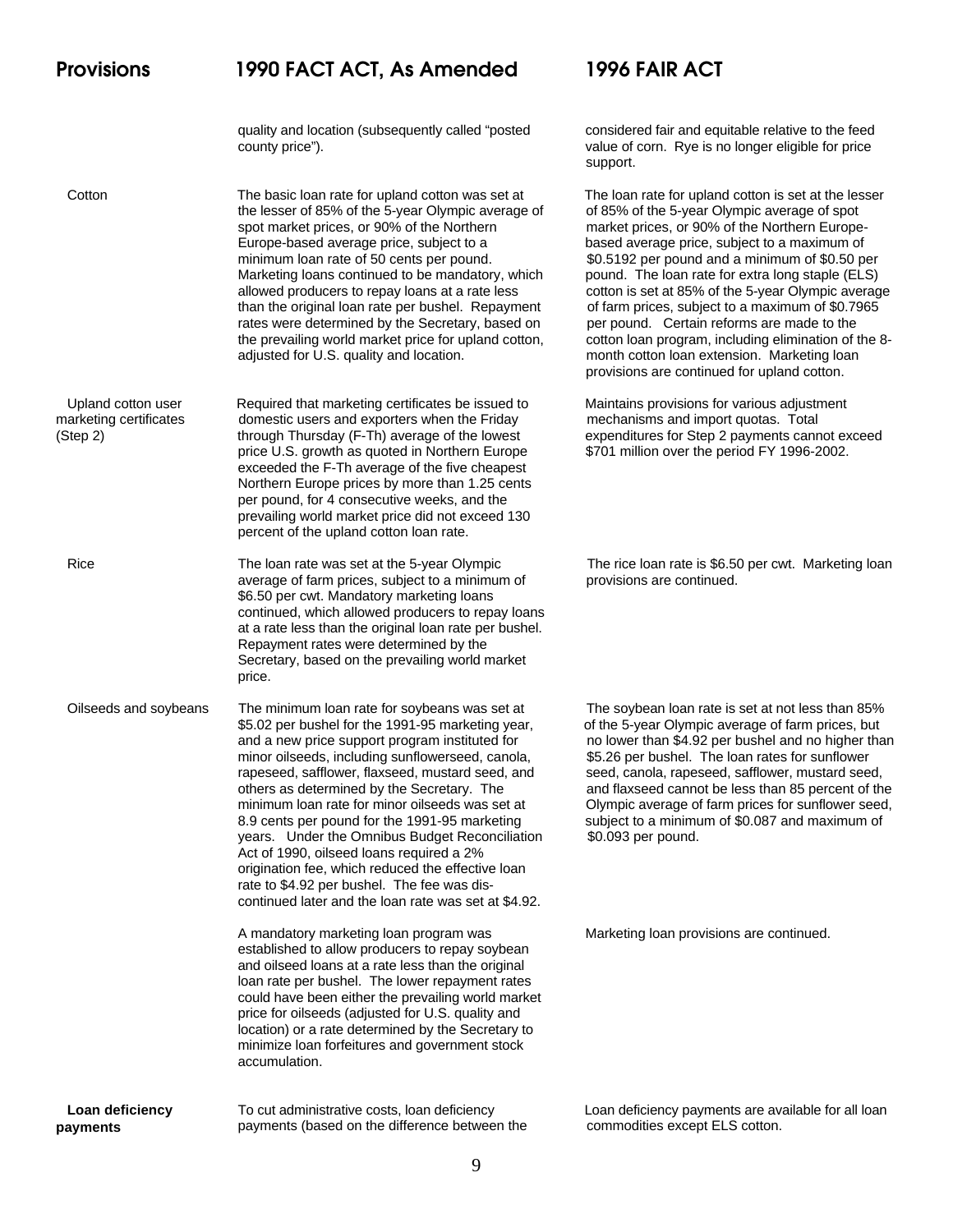quality and location (subsequently called "posted considered fair and equitable relative to the feed county price"). value of corn. Rye is no longer eligible for price

Cotton The basic loan rate for upland cotton was set at The loan rate for upland cotton is set at the lesser the lesser of 85% of the 5-year Olympic average of of 85% of the 5-year Olympic average of spot spot market prices, or 90% of the Northern market prices, or 90% of the Northern Europe-Europe-based average price, subject to a based average price, subject to a maximum of minimum loan rate of 50 cents per pound. \$0.5192 per pound and a minimum of \$0.50 per Marketing loans continued to be mandatory, which pound. The loan rate for extra long staple (ELS) allowed producers to repay loans at a rate less cotton is set at 85% of the 5-year Olympic average than the original loan rate per bushel. Repayment of farm prices, subject to a maximum of \$0.7965 rates were determined by the Secretary, based on per pound. Certain reforms are made to the the prevailing world market price for upland cotton, cotton loan program, including elimination of the 8adjusted for U.S. quality and location. month cotton loan extension. Marketing loan

 Upland cotton user Required that marketing certificates be issued to Maintains provisions for various adjustment marketing certificates domestic users and exporters when the Friday mechanisms and import quotas. Total (Step 2) through Thursday (F-Th) average of the lowest expenditures for Step 2 payments cannot exceed price U.S. growth as quoted in Northern Europe \$701 million over the period FY 1996-2002. exceeded the F-Th average of the five cheapest Northern Europe prices by more than 1.25 cents per pound, for 4 consecutive weeks, and the prevailing world market price did not exceed 130 percent of the upland cotton loan rate.

> average of farm prices, subject to a minimum of provisions are continued. \$6.50 per cwt. Mandatory marketing loans continued, which allowed producers to repay loans at a rate less than the original loan rate per bushel. Repayment rates were determined by the Secretary, based on the prevailing world market price.

Oilseeds and soybeans The minimum loan rate for soybeans was set at The soybean loan rate is set at not less than 85% \$5.02 per bushel for the 1991-95 marketing year, of the 5-year Olympic average of farm prices, but minor oilseeds, including sunflowerseed, canola,  $$5.26$  per bushel. The loan rates for sunflower<br>rapeseed, safflower, flaxseed, mustard seed, and seed, canola, rapeseed, safflower, mustard seed, rapeseed, safflower, flaxseed, mustard seed, and 8.9 cents per pound for the 1991-95 marketing subject to a minimum of \$0.087 and maximum of years. Under the Omnibus Budget Reconciliation \$0.093 per pound. Act of 1990, oilseed loans required a 2% origination fee, which reduced the effective loan rate to \$4.92 per bushel. The fee was discontinued later and the loan rate was set at \$4.92.

> A mandatory marketing loan program was Marketing loan provisions are continued. established to allow producers to repay soybean and oilseed loans at a rate less than the original loan rate per bushel. The lower repayment rates could have been either the prevailing world market price for oilseeds (adjusted for U.S. quality and location) or a rate determined by the Secretary to minimize loan forfeitures and government stock accumulation.

 **Loan deficiency payments**

payments (based on the difference between the commodities except ELS cotton.

support.

provisions are continued for upland cotton.

Rice The loan rate was set at the 5-year Olympic The rice loan rate is \$6.50 per cwt. Marketing loan

and a new price support program instituted for no lower than \$4.92 per bushel and no higher than others as determined by the Secretary. The and flaxseed cannot be less than 85 percent of the minimum loan rate for minor oilseeds was set at Olympic average of farm prices for sunflower seed,

To cut administrative costs, loan deficiency Loan deficiency payments are available for all loan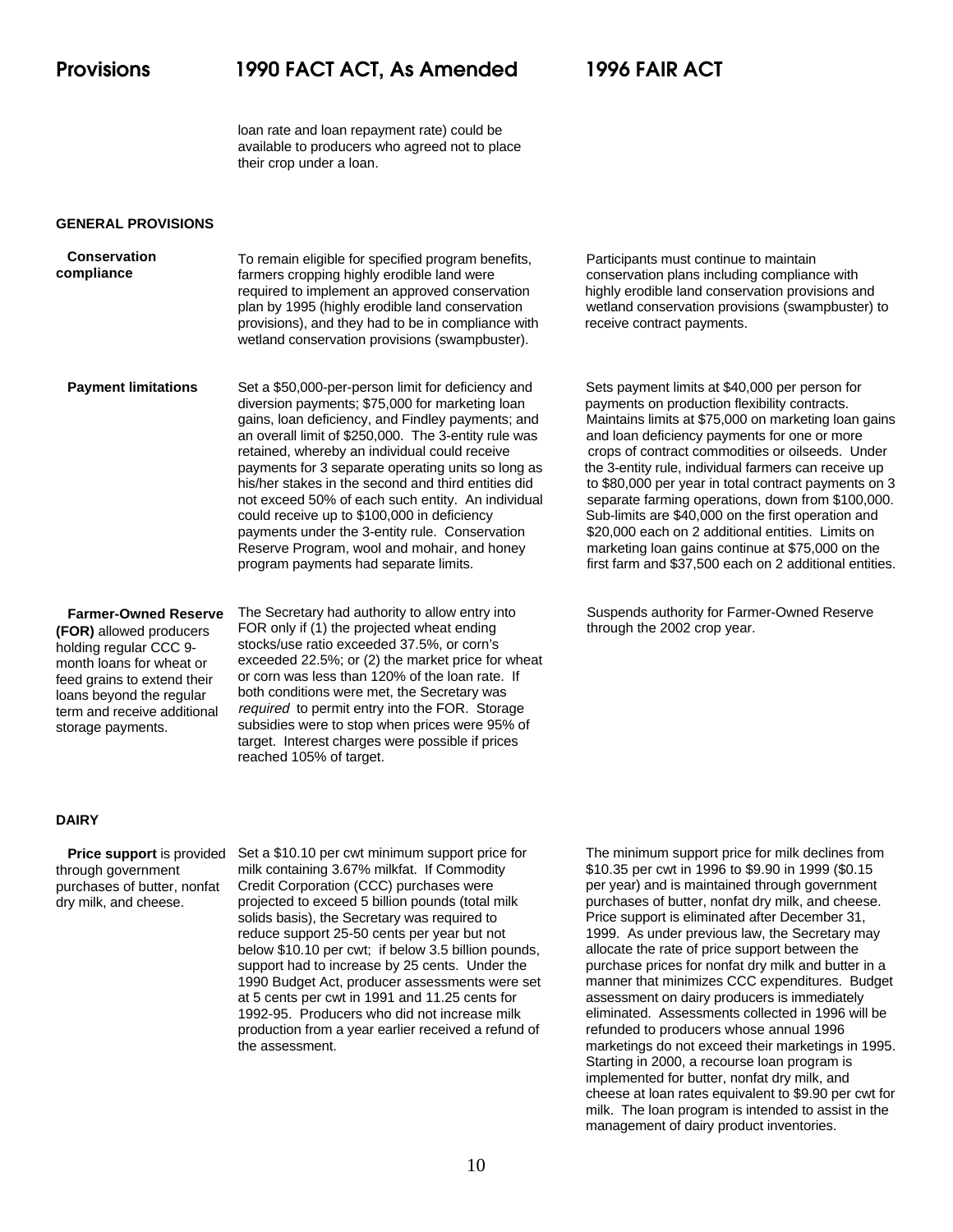loan rate and loan repayment rate) could be available to producers who agreed not to place their crop under a loan.

### **GENERAL PROVISIONS**

 **Conservation compliance** To remain eligible for specified program benefits, Participants must continue to maintain farmers cropping highly erodible land were conservation plans including compliance with required to implement an approved conservation highly erodible land conservation provisions and plan by 1995 (highly erodible land conservation wetland conservation provisions (swampbuster) to provisions), and they had to be in compliance with receive contract payments. wetland conservation provisions (swampbuster).

 **Payment limitations** diversion payments; \$75,000 for marketing loan payments on production flexibility contracts. gains, loan deficiency, and Findley payments; and Maintains limits at \$75,000 on marketing loan gains and versi<br>an overall limit of \$250,000. The 3-entity rule was and loan deficiency payments for one or more retained, whereby an individual could receive crops of contract commodities or oilseeds. Under payments for 3 separate operating units so long as the 3-entity rule, individual farmers can receive up his/her stakes in the second and third entities did to \$80,000 per year in total contract payments on 3 not exceed 50% of each such entity. An individual separate farming operations, down from \$100,000. could receive up to \$100,000 in deficiency Sub-limits are \$40,000 on the first operation and payments under the 3-entity rule. Conservation \$20,000 each on 2 additional entities. Limits on Reserve Program, wool and mohair, and honey marketing loan gains continue at \$75,000 on the program payments had separate limits. first farm and \$37,500 each on 2 additional entities.

 **Farmer-Owned Reserve (FOR)** allowed producers holding regular CCC 9 month loans for wheat or feed grains to extend their loans beyond the regular term and receive additional storage payments.

The Secretary had authority to allow entry into Suspends authority for Farmer-Owned Reserve FOR only if (1) the projected wheat ending through the 2002 crop year. stocks/use ratio exceeded 37.5%, or corn's exceeded 22.5%; or (2) the market price for wheat or corn was less than 120% of the loan rate. If both conditions were met, the Secretary was required to permit entry into the FOR. Storage subsidies were to stop when prices were 95% of target. Interest charges were possible if prices reached 105% of target.

Set a \$50,000-per-person limit for deficiency and Sets payment limits at \$40,000 per person for and loan deficiency payments for one or more

### **DAIRY**

 **Price support** is provided through government purchases of butter, nonfat dry milk, and cheese.

Set a \$10.10 per cwt minimum support price for milk containing 3.67% milkfat. If Commodity Credit Corporation (CCC) purchases were projected to exceed 5 billion pounds (total milk solids basis), the Secretary was required to reduce support 25-50 cents per year but not below \$10.10 per cwt; if below 3.5 billion pounds, support had to increase by 25 cents. Under the 1990 Budget Act, producer assessments were set at 5 cents per cwt in 1991 and 11.25 cents for 1992-95. Producers who did not increase milk production from a year earlier received a refund of the assessment.

The minimum support price for milk declines from \$10.35 per cwt in 1996 to \$9.90 in 1999 (\$0.15 per year) and is maintained through government purchases of butter, nonfat dry milk, and cheese. Price support is eliminated after December 31, 1999. As under previous law, the Secretary may allocate the rate of price support between the purchase prices for nonfat dry milk and butter in a manner that minimizes CCC expenditures. Budget assessment on dairy producers is immediately eliminated. Assessments collected in 1996 will be refunded to producers whose annual 1996 marketings do not exceed their marketings in 1995. Starting in 2000, a recourse loan program is implemented for butter, nonfat dry milk, and cheese at loan rates equivalent to \$9.90 per cwt for milk. The loan program is intended to assist in the management of dairy product inventories.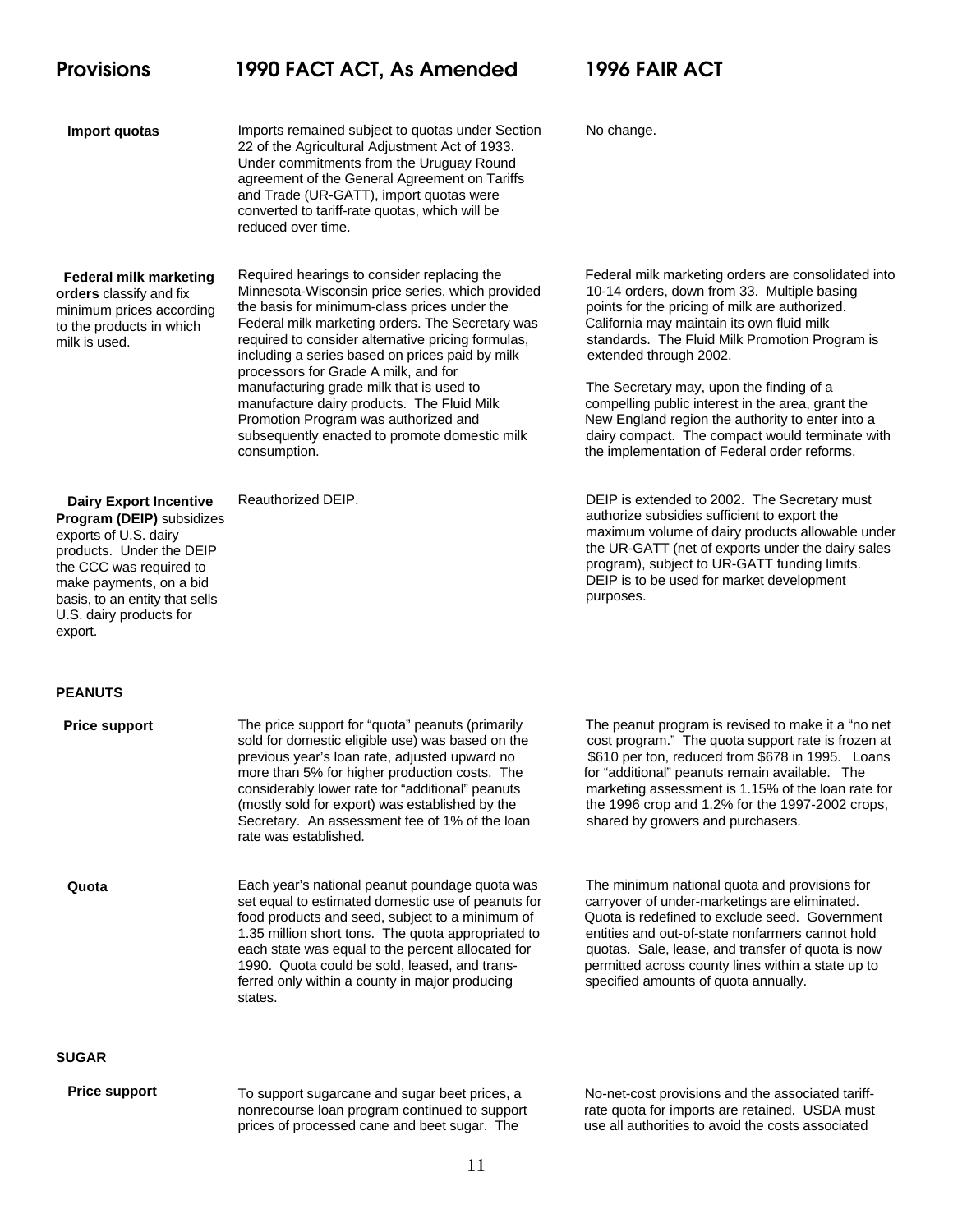### **Import quotas**

Imports remained subject to quotas under Section No change. 22 of the Agricultural Adjustment Act of 1933. Under commitments from the Uruguay Round agreement of the General Agreement on Tariffs and Trade (UR-GATT), import quotas were converted to tariff-rate quotas, which will be reduced over time.

### **Federal milk marketing orders** classify and fix minimum prices according to the products in which milk is used.

 **Dairy Export Incentive Program (DEIP)** subsidizes exports of U.S. dairy products. Under the DEIP the CCC was required to make payments, on a bid basis, to an entity that sells U.S. dairy products for

Minnesota-Wisconsin price series, which provided 10-14 orders, down from 33. Multiple basing the basis for minimum-class prices under the points for the pricing of milk are authorized. Federal milk marketing orders. The Secretary was California may maintain its own fluid milk required to consider alternative pricing formulas, standards. The Fluid Milk Promotion Program is including a series based on prices paid by milk extended through 2002. processors for Grade A milk, and for manufacturing grade milk that is used to The Secretary may, upon the finding of a manufacture dairy products. The Fluid Milk compelling public interest in the area, grant the Promotion Program was authorized and New England region the authority to enter into a

Required hearings to consider replacing the Federal milk marketing orders are consolidated into

subsequently enacted to promote domestic milk dairy compact. The compact would terminate with consumption. the implementation of Federal order reforms.

Reauthorized DEIP. **DEIP** is extended to 2002. The Secretary must authorize subsidies sufficient to export the maximum volume of dairy products allowable under the UR-GATT (net of exports under the dairy sales program), subject to UR-GATT funding limits. DEIP is to be used for market development purposes.

### **PEANUTS**

export.

| <b>Price support</b> | The price support for "quota" peanuts (primarily<br>sold for domestic eligible use) was based on the<br>previous year's loan rate, adjusted upward no<br>more than 5% for higher production costs. The<br>considerably lower rate for "additional" peanuts<br>(mostly sold for export) was established by the<br>Secretary. An assessment fee of 1% of the loan<br>rate was established. | The peanut program is revised to make it a "no net<br>cost program." The quota support rate is frozen at<br>\$610 per ton, reduced from \$678 in 1995. Loans<br>for "additional" peanuts remain available. The<br>marketing assessment is 1.15% of the loan rate for<br>the 1996 crop and 1.2% for the 1997-2002 crops,<br>shared by growers and purchasers. |
|----------------------|------------------------------------------------------------------------------------------------------------------------------------------------------------------------------------------------------------------------------------------------------------------------------------------------------------------------------------------------------------------------------------------|--------------------------------------------------------------------------------------------------------------------------------------------------------------------------------------------------------------------------------------------------------------------------------------------------------------------------------------------------------------|
| Quota                | Each year's national peanut poundage quota was<br>set equal to estimated domestic use of peanuts for<br>food products and seed, subject to a minimum of<br>1.35 million short tons. The quota appropriated to<br>each state was equal to the percent allocated for<br>1990. Quota could be sold, leased, and trans-<br>ferred only within a county in major producing<br>states.         | The minimum national quota and provisions for<br>carryover of under-marketings are eliminated.<br>Quota is redefined to exclude seed. Government<br>entities and out-of-state nonfarmers cannot hold<br>quotas. Sale, lease, and transfer of quota is now<br>permitted across county lines within a state up to<br>specified amounts of quota annually.      |
| <b>SUGAR</b>         |                                                                                                                                                                                                                                                                                                                                                                                          |                                                                                                                                                                                                                                                                                                                                                              |
| <b>Price support</b> | To support sugarcane and sugar beet prices, a<br>nonrecourse loan program continued to support                                                                                                                                                                                                                                                                                           | No-net-cost provisions and the associated tariff-<br>rate quota for imports are retained. USDA must                                                                                                                                                                                                                                                          |

prices of processed cane and beet sugar. The use all authorities to avoid the costs associated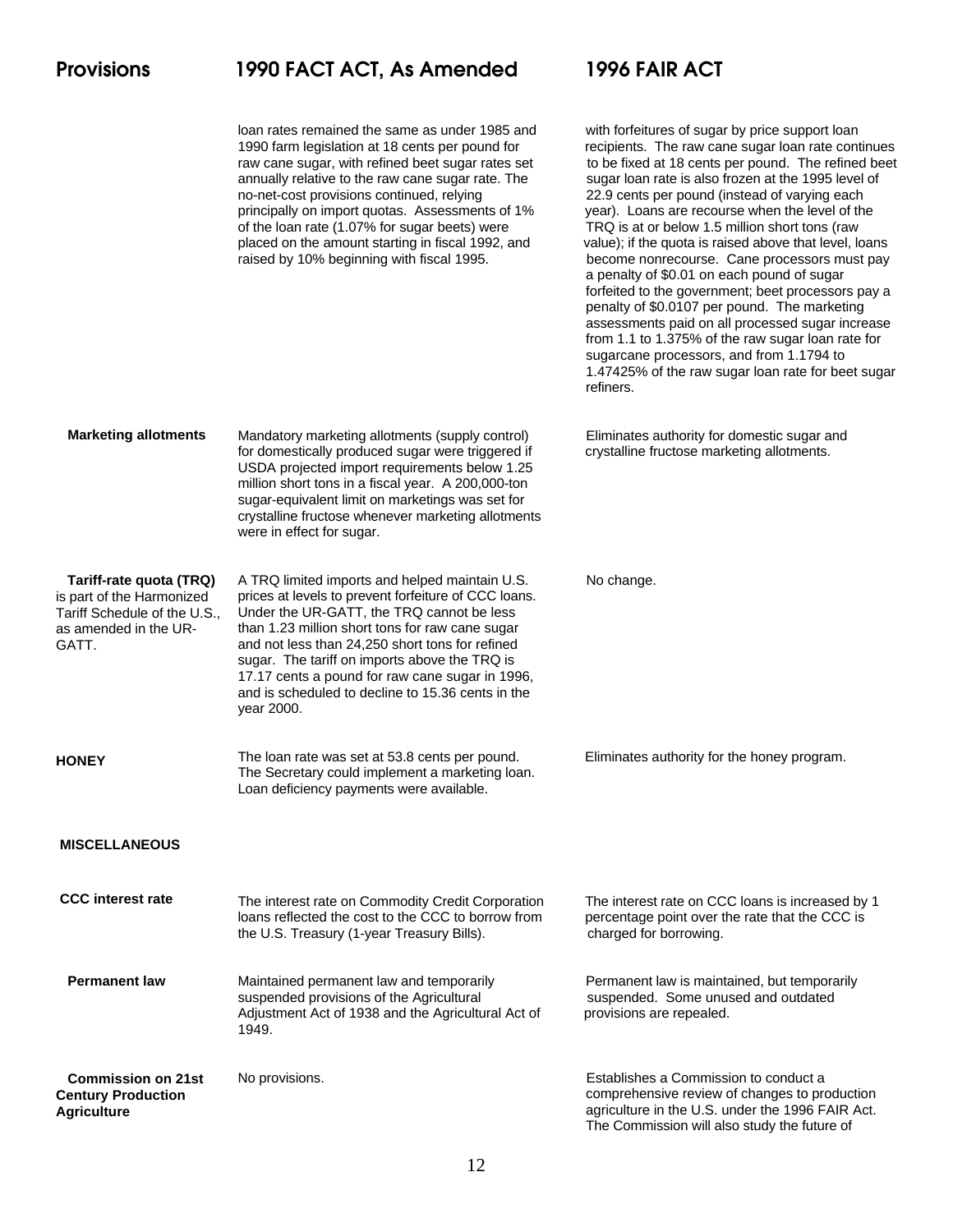|                                                                                                                        | loan rates remained the same as under 1985 and<br>1990 farm legislation at 18 cents per pound for<br>raw cane sugar, with refined beet sugar rates set<br>annually relative to the raw cane sugar rate. The<br>no-net-cost provisions continued, relying<br>principally on import quotas. Assessments of 1%<br>of the loan rate (1.07% for sugar beets) were<br>placed on the amount starting in fiscal 1992, and<br>raised by 10% beginning with fiscal 1995. | with forfeitures of sugar by price support loan<br>recipients. The raw cane sugar loan rate continues<br>to be fixed at 18 cents per pound. The refined beet<br>sugar loan rate is also frozen at the 1995 level of<br>22.9 cents per pound (instead of varying each<br>year). Loans are recourse when the level of the<br>TRQ is at or below 1.5 million short tons (raw<br>value); if the quota is raised above that level, loans<br>become nonrecourse. Cane processors must pay<br>a penalty of \$0.01 on each pound of sugar<br>forfeited to the government; beet processors pay a<br>penalty of \$0.0107 per pound. The marketing<br>assessments paid on all processed sugar increase<br>from 1.1 to 1.375% of the raw sugar loan rate for<br>sugarcane processors, and from 1.1794 to<br>1.47425% of the raw sugar loan rate for beet sugar<br>refiners. |
|------------------------------------------------------------------------------------------------------------------------|----------------------------------------------------------------------------------------------------------------------------------------------------------------------------------------------------------------------------------------------------------------------------------------------------------------------------------------------------------------------------------------------------------------------------------------------------------------|-----------------------------------------------------------------------------------------------------------------------------------------------------------------------------------------------------------------------------------------------------------------------------------------------------------------------------------------------------------------------------------------------------------------------------------------------------------------------------------------------------------------------------------------------------------------------------------------------------------------------------------------------------------------------------------------------------------------------------------------------------------------------------------------------------------------------------------------------------------------|
| <b>Marketing allotments</b>                                                                                            | Mandatory marketing allotments (supply control)<br>for domestically produced sugar were triggered if<br>USDA projected import requirements below 1.25<br>million short tons in a fiscal year. A 200,000-ton<br>sugar-equivalent limit on marketings was set for<br>crystalline fructose whenever marketing allotments<br>were in effect for sugar.                                                                                                             | Eliminates authority for domestic sugar and<br>crystalline fructose marketing allotments.                                                                                                                                                                                                                                                                                                                                                                                                                                                                                                                                                                                                                                                                                                                                                                       |
| Tariff-rate quota (TRQ)<br>is part of the Harmonized<br>Tariff Schedule of the U.S.,<br>as amended in the UR-<br>GATT. | A TRQ limited imports and helped maintain U.S.<br>prices at levels to prevent forfeiture of CCC loans.<br>Under the UR-GATT, the TRQ cannot be less<br>than 1.23 million short tons for raw cane sugar<br>and not less than 24,250 short tons for refined<br>sugar. The tariff on imports above the TRQ is<br>17.17 cents a pound for raw cane sugar in 1996,<br>and is scheduled to decline to 15.36 cents in the<br>year 2000.                               | No change.                                                                                                                                                                                                                                                                                                                                                                                                                                                                                                                                                                                                                                                                                                                                                                                                                                                      |
| <b>HONEY</b>                                                                                                           | The loan rate was set at 53.8 cents per pound.<br>The Secretary could implement a marketing loan.<br>Loan deficiency payments were available.                                                                                                                                                                                                                                                                                                                  | Eliminates authority for the honey program.                                                                                                                                                                                                                                                                                                                                                                                                                                                                                                                                                                                                                                                                                                                                                                                                                     |
| <b>MISCELLANEOUS</b>                                                                                                   |                                                                                                                                                                                                                                                                                                                                                                                                                                                                |                                                                                                                                                                                                                                                                                                                                                                                                                                                                                                                                                                                                                                                                                                                                                                                                                                                                 |
| <b>CCC</b> interest rate                                                                                               | The interest rate on Commodity Credit Corporation<br>loans reflected the cost to the CCC to borrow from<br>the U.S. Treasury (1-year Treasury Bills).                                                                                                                                                                                                                                                                                                          | The interest rate on CCC loans is increased by 1<br>percentage point over the rate that the CCC is<br>charged for borrowing.                                                                                                                                                                                                                                                                                                                                                                                                                                                                                                                                                                                                                                                                                                                                    |
| <b>Permanent law</b>                                                                                                   | Maintained permanent law and temporarily<br>suspended provisions of the Agricultural<br>Adjustment Act of 1938 and the Agricultural Act of<br>1949.                                                                                                                                                                                                                                                                                                            | Permanent law is maintained, but temporarily<br>suspended. Some unused and outdated<br>provisions are repealed.                                                                                                                                                                                                                                                                                                                                                                                                                                                                                                                                                                                                                                                                                                                                                 |
| <b>Commission on 21st</b><br><b>Century Production</b><br><b>Agriculture</b>                                           | No provisions.                                                                                                                                                                                                                                                                                                                                                                                                                                                 | Establishes a Commission to conduct a<br>comprehensive review of changes to production<br>agriculture in the U.S. under the 1996 FAIR Act.<br>The Commission will also study the future of                                                                                                                                                                                                                                                                                                                                                                                                                                                                                                                                                                                                                                                                      |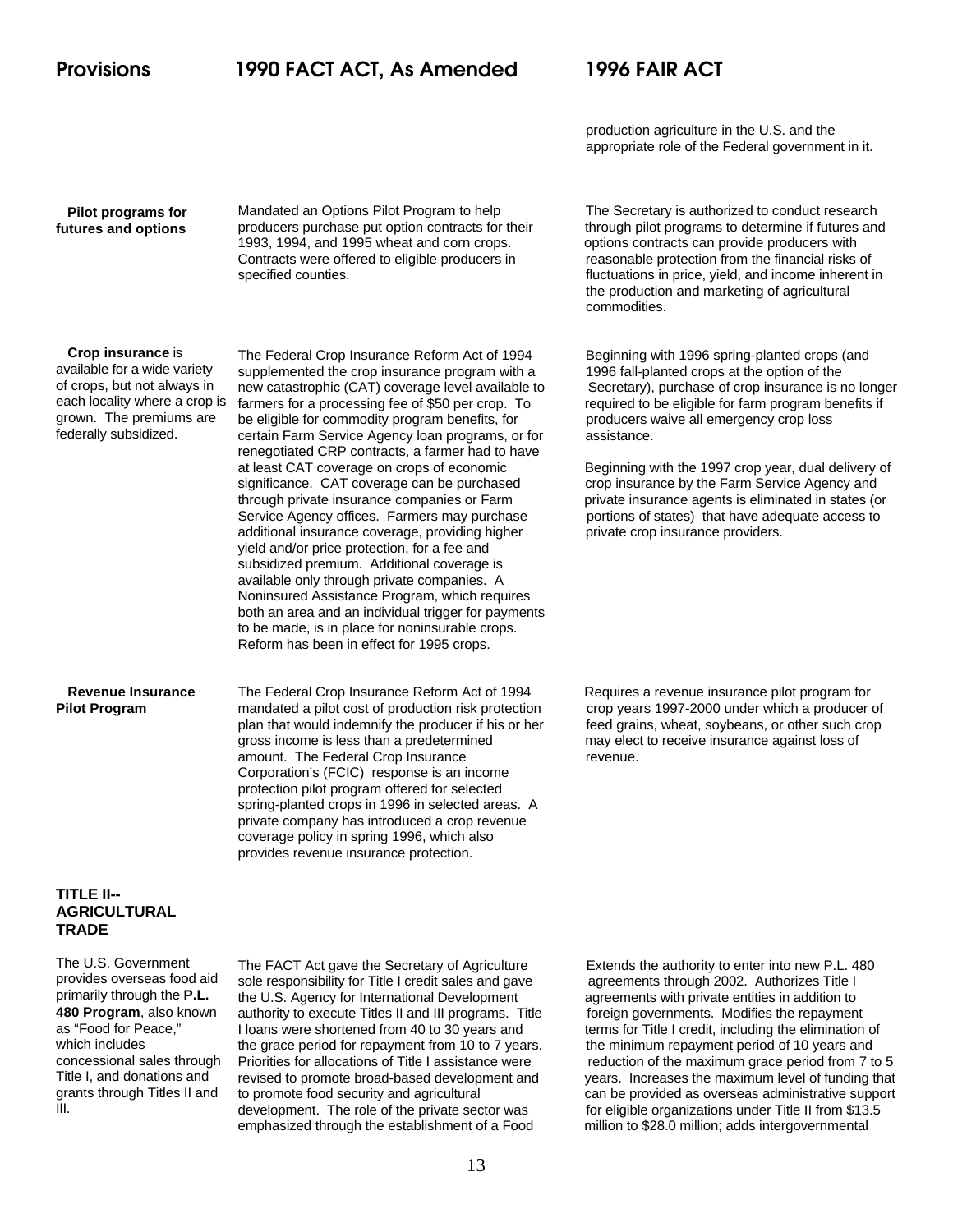production agriculture in the U.S. and the appropriate role of the Federal government in it.

 **Pilot programs for futures and options** 1993, 1994, and 1995 wheat and corn crops. options contracts can provide producers with Contracts were offered to eligible producers in reasonable protection from the financial risks of

 **Crop insurance** is

available for a wide variety of crops, but not always in each locality where a crop is grown. The premiums are federally subsidized.

supplemented the crop insurance program with a 1996 fall-planted crops at the option of the farmers for a processing fee of \$50 per crop. To required to be eligible for farm program benefits if be eligible for commodity program benefits, for producers waive all emergency crop loss certain Farm Service Agency loan programs, or for assistance. renegotiated CRP contracts, a farmer had to have at least CAT coverage on crops of economic Beginning with the 1997 crop year, dual delivery of significance. CAT coverage can be purchased crop insurance by the Farm Service Agency and through private insurance companies or Farm private insurance agents is eliminated in states (or Service Agency offices. Farmers may purchase portions of states) that have adequate access to additional insurance coverage, providing higher private crop insurance providers. yield and/or price protection, for a fee and subsidized premium. Additional coverage is available only through private companies. A Noninsured Assistance Program, which requires both an area and an individual trigger for payments to be made, is in place for noninsurable crops. Reform has been in effect for 1995 crops.

 **Revenue Insurance Pilot Program**

The Federal Crop Insurance Reform Act of 1994 Requires a revenue insurance pilot program for mandated a pilot cost of production risk protection crop years 1997-2000 under which a producer of plan that would indemnify the producer if his or her feed grains, wheat, soybeans, or other such crop gross income is less than a predetermined may elect to receive insurance against loss of amount. The Federal Crop Insurance **revenue**. Corporation's (FCIC) response is an income protection pilot program offered for selected spring-planted crops in 1996 in selected areas. A private company has introduced a crop revenue coverage policy in spring 1996, which also provides revenue insurance protection.

Mandated an Options Pilot Program to help The Secretary is authorized to conduct research producers purchase put option contracts for their through pilot programs to determine if futures and specified counties. **fluctuations** in price, yield, and income inherent in the production and marketing of agricultural commodities.

The Federal Crop Insurance Reform Act of 1994 Beginning with 1996 spring-planted crops (and new catastrophic (CAT) coverage level available to Secretary), purchase of crop insurance is no longer

### **TITLE II-- AGRICULTURAL TRADE**

The U.S. Government provides overseas food aid primarily through the **P.L. 480 Program**, also known as "Food for Peace," which includes concessional sales through Title I, and donations and grants through Titles II and III.

The FACT Act gave the Secretary of Agriculture Extends the authority to enter into new P.L. 480 sole responsibility for Title I credit sales and gave agreements through 2002. Authorizes Title I the U.S. Agency for International Development agreements with private entities in addition to authority to execute Titles II and III programs. Title foreign governments. Modifies the repayment I loans were shortened from 40 to 30 years and terms for Title I credit, including the elimination of the grace period for repayment from 10 to 7 years. the minimum repayment period of 10 years and development. The role of the private sector was for eligible organizations under Title II from \$13.5 emphasized through the establishment of a Food million to \$28.0 million; adds intergovernmental

Priorities for allocations of Title I assistance were reduction of the maximum grace period from 7 to 5 revised to promote broad-based development and years. Increases the maximum level of funding that<br>to promote food security and agricultural can be provided as overseas administrative support can be provided as overseas administrative support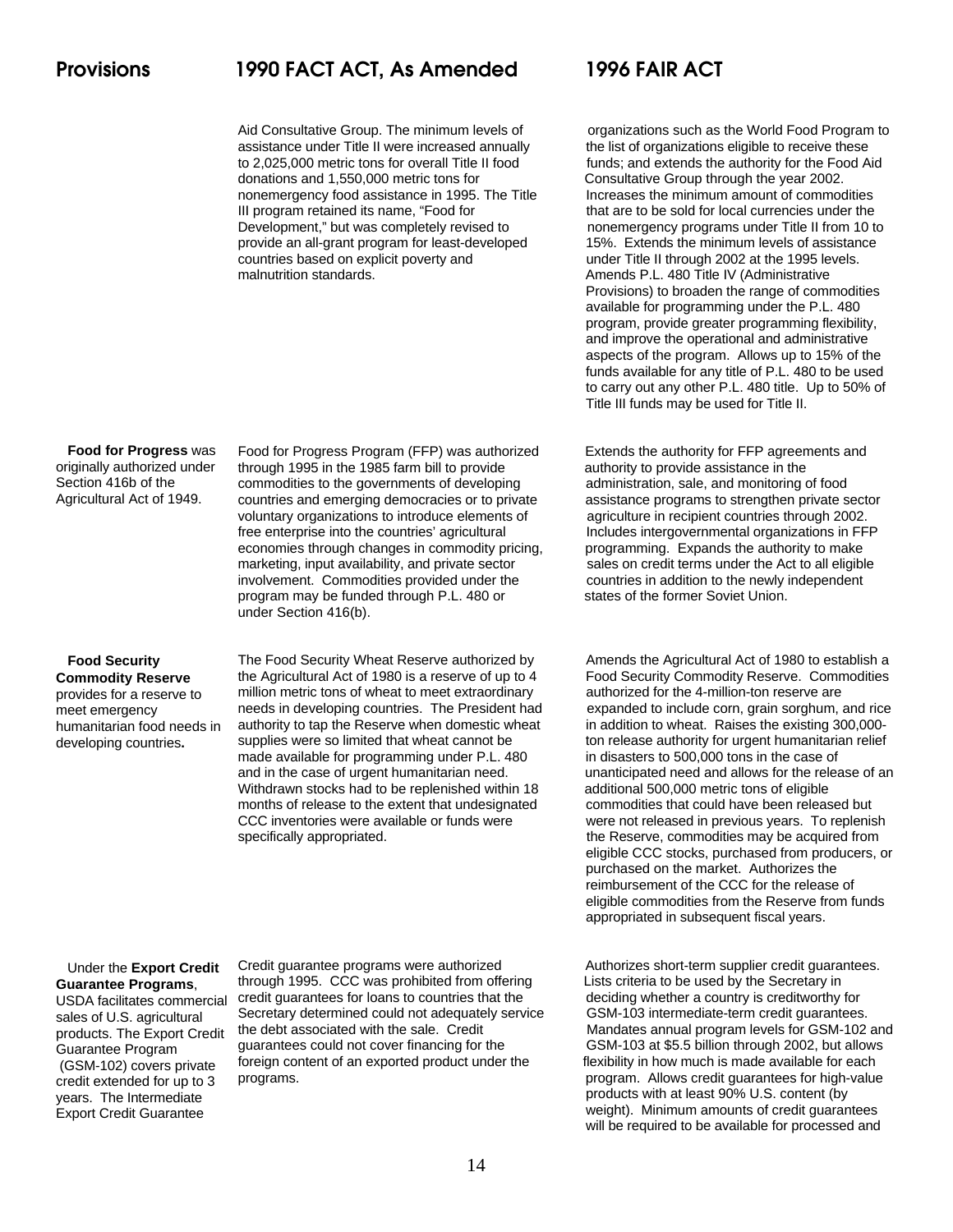assistance under Title II were increased annually the list of organizations eligible to receive these to 2,025,000 metric tons for overall Title II food funds; and extends the authority for the Food Aid<br>donations and 1.550.000 metric tons for Consultative Group through the year 2002. nonemergency food assistance in 1995. The Title Increases the minimum amount of commodities III program retained its name, "Food for that are to be sold for local currencies under the Development," but was completely revised to nonemergency programs under Title II from 10 to provide an all-grant program for least-developed 15%. Extends the minimum levels of assistance countries based on explicit poverty and under Title II through 2002 at the 1995 levels. malnutrition standards. Amends P.L. 480 Title IV (Administrative

 **Food for Progress** was originally authorized under Section 416b of the Agricultural Act of 1949.

through 1995 in the 1985 farm bill to provide **authority** to provide assistance in the commodities to the governments of developing administration, sale, and monitoring of food countries and emerging democracies or to private assistance programs to strengthen private sector voluntary organizations to introduce elements of agriculture in recipient countries through 2002. free enterprise into the countries' agricultural Includes intergovernmental organizations in FFP economies through changes in commodity pricing, programming. Expands the authority to make<br>marketing, input availability, and private sector sales on credit terms under the Act to all eligible involvement. Commodities provided under the countries in addition to the newly independent program may be funded through P.L. 480 or states of the former Soviet Union. under Section 416(b).

### **Food Security Commodity Reserve**

provides for a reserve to meet emergency humanitarian food needs in developing countries**.**

The Food Security Wheat Reserve authorized by Amends the Agricultural Act of 1980 to establish a the Agricultural Act of 1980 is a reserve of up to 4 Food Security Commodity Reserve. Commodities<br>
million metric tons of wheat to meet extraordinary authorized for the 4-million-ton reserve are million metric tons of wheat to meet extraordinary needs in developing countries. The President had expanded to include corn, grain sorghum, and rice authority to tap the Reserve when domestic wheat in addition to wheat. Raises the existing 300,000supplies were so limited that wheat cannot be ton release authority for urgent humanitarian relief<br>made available for programming under P.L. 480 in disasters to 500.000 tons in the case of made available for programming under P.L. 480 and in the case of urgent humanitarian need. unanticipated need and allows for the release of an Withdrawn stocks had to be replenished within 18 additional 500,000 metric tons of eligible months of release to the extent that undesignated commodities that could have been released but CCC inventories were available or funds were were not released in previous years. To replenish

Aid Consultative Group. The minimum levels of organizations such as the World Food Program to Consultative Group through the year 2002. Provisions) to broaden the range of commodities available for programming under the P.L. 480 program, provide greater programming flexibility, and improve the operational and administrative aspects of the program. Allows up to 15% of the funds available for any title of P.L. 480 to be used to carry out any other P.L. 480 title. Up to 50% of Title III funds may be used for Title II.

Food for Progress Program (FFP) was authorized Extends the authority for FFP agreements and sales on credit terms under the Act to all eligible

specifically appropriated. The Reserve, commodities may be acquired from eligible CCC stocks, purchased from producers, or purchased on the market. Authorizes the reimbursement of the CCC for the release of eligible commodities from the Reserve from funds appropriated in subsequent fiscal years.

 Under the **Export Credit Guarantee Programs**,

USDA facilitates commercial sales of U.S. agricultural products. The Export Credit Guarantee Program (GSM-102) covers private credit extended for up to 3 years. The Intermediate Export Credit Guarantee

through 1995. CCC was prohibited from offering Lists criteria to be used by the Secretary in credit guarantees for loans to countries that the deciding whether a country is creditworthy for Secretary determined could not adequately service GSM-103 intermediate-term credit guarantees. guarantees could not cover financing for the GSM-103 at \$5.5 billion through 2002, but allows foreign content of an exported product under the flexibility in how much is made available for each

Credit guarantee programs were authorized Authorizes short-term supplier credit guarantees. the debt associated with the sale. Credit Mandates annual program levels for GSM-102 and programs. program. Allows credit guarantees for high-value products with at least 90% U.S. content (by weight). Minimum amounts of credit guarantees will be required to be available for processed and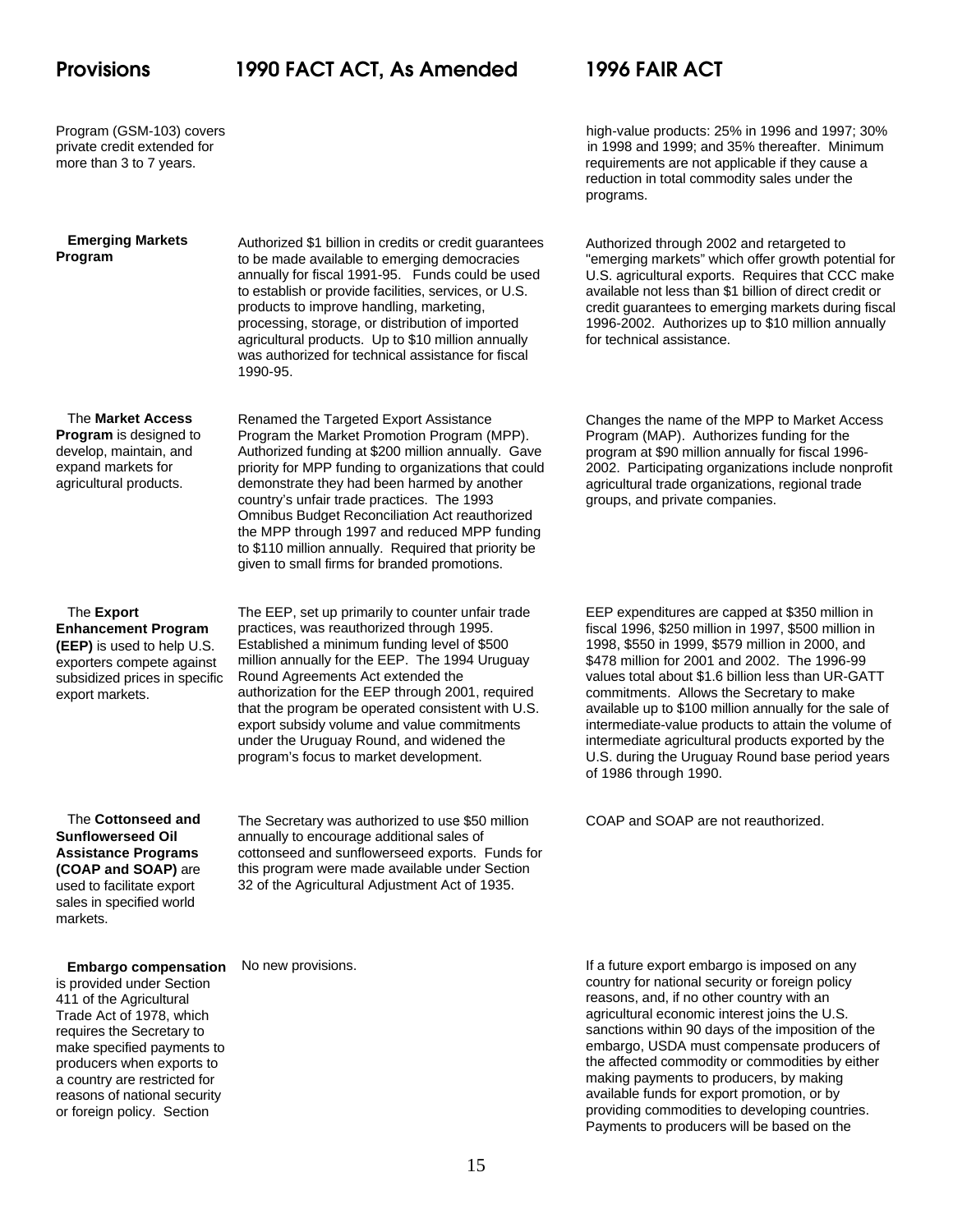**Emerging Markets**

**Program**

Program (GSM-103) covers high-value products: 25% in 1996 and 1997; 30% private credit extended for in 1998 and 1999; and 35% thereafter. Minimum more than 3 to 7 years. The state of the state of the state of the state are not applicable if they cause a reduction in total commodity sales under the programs.

> Authorized through 2002 and retargeted to "emerging markets" which offer growth potential for U.S. agricultural exports. Requires that CCC make available not less than \$1 billion of direct credit or credit guarantees to emerging markets during fiscal 1996-2002. Authorizes up to \$10 million annually

Authorized \$1 billion in credits or credit guarantees to be made available to emerging democracies annually for fiscal 1991-95. Funds could be used to establish or provide facilities, services, or U.S. products to improve handling, marketing, processing, storage, or distribution of imported agricultural products. Up to \$10 million annually was authorized for technical assistance for fiscal 1990-95.

Renamed the Targeted Export Assistance Program the Market Promotion Program (MPP). Authorized funding at \$200 million annually. Gave priority for MPP funding to organizations that could

 The **Market Access Program** is designed to develop, maintain, and expand markets for agricultural products.

 The **Export Enhancement Program (EEP)** is used to help U.S. exporters compete against subsidized prices in specific export markets.

demonstrate they had been harmed by another country's unfair trade practices. The 1993 Omnibus Budget Reconciliation Act reauthorized the MPP through 1997 and reduced MPP funding to \$110 million annually. Required that priority be given to small firms for branded promotions. The EEP, set up primarily to counter unfair trade

practices, was reauthorized through 1995. Established a minimum funding level of \$500 million annually for the EEP. The 1994 Uruguay Round Agreements Act extended the authorization for the EEP through 2001, required that the program be operated consistent with U.S. export subsidy volume and value commitments under the Uruguay Round, and widened the program's focus to market development.

The **Cottonseed and**

The Secretary was authorized to use \$50 million annually to encourage additional sales of cottonseed and sunflowerseed exports. Funds for this program were made available under Section 32 of the Agricultural Adjustment Act of 1935.

**Sunflowerseed Oil Assistance Programs (COAP and SOAP)** are used to facilitate export sales in specified world markets.

is provided under Section 411 of the Agricultural Trade Act of 1978, which requires the Secretary to make specified payments to producers when exports to a country are restricted for reasons of national security or foreign policy. Section

### **Embargo compensation** No new provisions.

for technical assistance. Changes the name of the MPP to Market Access

Program (MAP). Authorizes funding for the program at \$90 million annually for fiscal 1996- 2002. Participating organizations include nonprofit agricultural trade organizations, regional trade groups, and private companies.

EEP expenditures are capped at \$350 million in fiscal 1996, \$250 million in 1997, \$500 million in 1998, \$550 in 1999, \$579 million in 2000, and \$478 million for 2001 and 2002. The 1996-99 values total about \$1.6 billion less than UR-GATT commitments. Allows the Secretary to make available up to \$100 million annually for the sale of intermediate-value products to attain the volume of intermediate agricultural products exported by the U.S. during the Uruguay Round base period years of 1986 through 1990.

COAP and SOAP are not reauthorized.

If a future export embargo is imposed on any country for national security or foreign policy reasons, and, if no other country with an agricultural economic interest joins the U.S. sanctions within 90 days of the imposition of the embargo, USDA must compensate producers of the affected commodity or commodities by either making payments to producers, by making available funds for export promotion, or by providing commodities to developing countries. Payments to producers will be based on the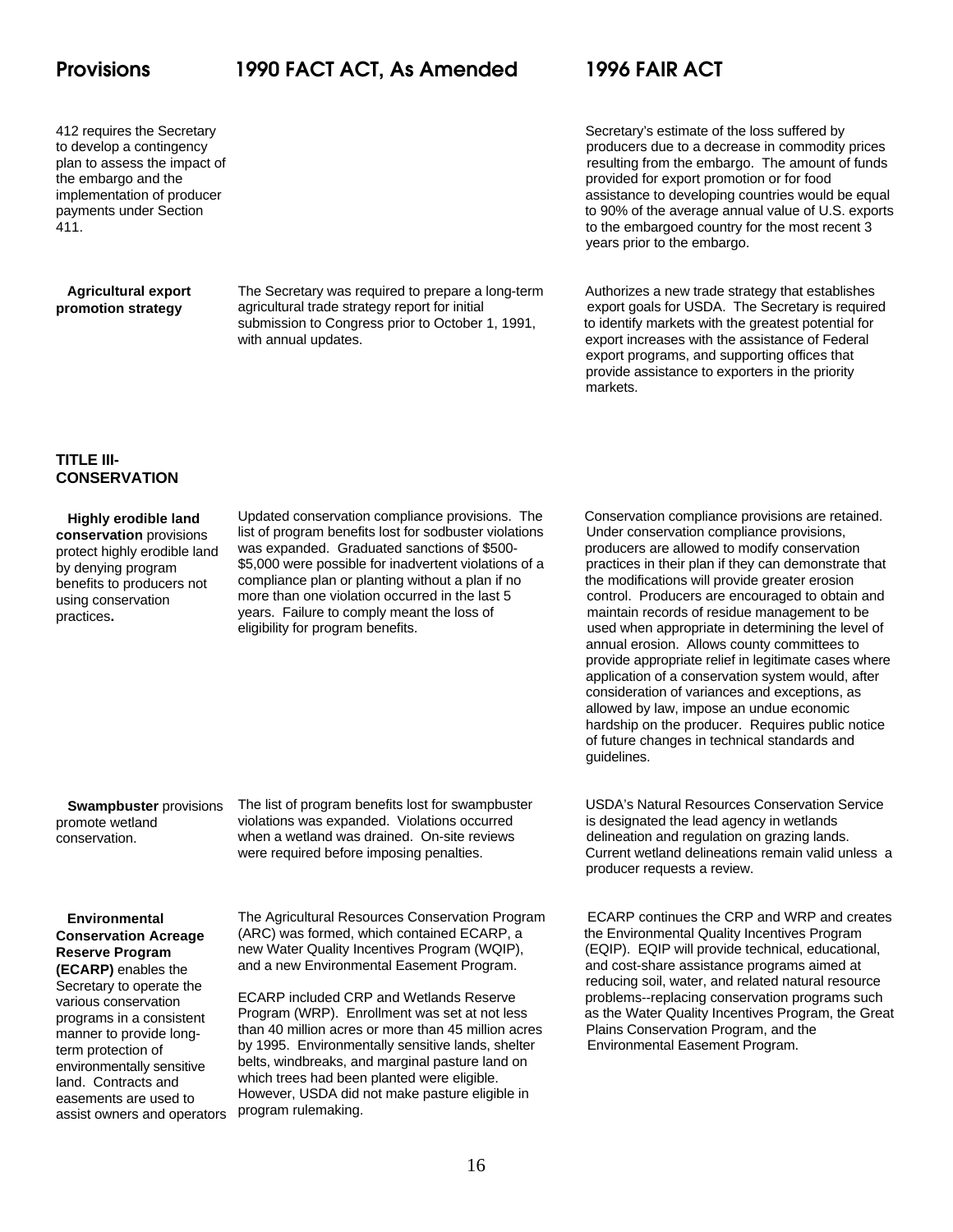### **Agricultural export promotion strategy**

agricultural trade strategy report for initial export goals for USDA. The Secretary is required submission to Congress prior to October 1, 1991, to identify markets with the greatest potential for with annual updates. **Export increases with the assistance of Federal** 

412 requires the Secretary<br>
412 requires the Secretary Secretary's estimate of the loss suffered by<br>
412 requires the loss suffered by<br>
producers due to a decrease in commodity producers due to a decrease in commodity prices plan to assess the impact of resulting from the embargo. The amount of funds the embargo and the provided for export promotion or for food implementation of producer assistance to developing countries would be equal payments under Section to 90% of the average annual value of U.S. exports 411. to the embargoed country for the most recent 3 years prior to the embargo.

> The Secretary was required to prepare a long-term Authorizes a new trade strategy that establishes export programs, and supporting offices that provide assistance to exporters in the priority markets.

### **TITLE III-CONSERVATION**

### **Highly erodible land conservation** provisions protect highly erodible land by denying program benefits to producers not using conservation practices**.**

Updated conservation compliance provisions. The Conservation compliance provisions are retained. list of program benefits lost for sodbuster violations Under conservation compliance provisions,<br>was expanded. Graduated sanctions of \$500-<br>producers are allowed to modify conservation was expanded. Graduated sanctions of \$500-<br>\$5,000 were possible for inadvertent violations of a practices in their plan if they can demonstrate that \$5,000 were possible for inadvertent violations of a compliance plan or planting without a plan if no the modifications will provide greater erosion more than one violation occurred in the last 5 control. Producers are encouraged to obtain and years. Failure to comply meant the loss of maintain records of residue management to be

eligibility for program benefits. used when appropriate in determining the level of annual erosion. Allows county committees to provide appropriate relief in legitimate cases where application of a conservation system would, after consideration of variances and exceptions, as allowed by law, impose an undue economic hardship on the producer. Requires public notice of future changes in technical standards and guidelines.

 **Swampbuster** provisions promote wetland conservation.

violations was expanded. Violations occurred is designated the lead agency in wetlands when a wetland was drained. On-site reviews delineation and regulation on grazing lands.

### **Environmental Conservation Acreage Reserve Program**

**(ECARP)** enables the Secretary to operate the various conservation programs in a consistent manner to provide longterm protection of environmentally sensitive land. Contracts and easements are used to assist owners and operators

The Agricultural Resources Conservation Program ECARP continues the CRP and WRP and creates (ARC) was formed, which contained ECARP, a the Environmental Quality Incentives Program<br>new Water Quality Incentives Program (WQIP), (EQIP). EQIP will provide technical, education new Water Quality Incentives Program (WQIP), (EQIP). EQIP will provide technical, educational, and a new Environmental Easement Program. and cost-share assistance programs aimed at

than 40 million acres or more than 45 million acres Plains Conservation Program, and the by 1995. Environmentally sensitive lands, shelter Environmental Easement Program. belts, windbreaks, and marginal pasture land on which trees had been planted were eligible. However, USDA did not make pasture eligible in program rulemaking.

The list of program benefits lost for swampbuster USDA's Natural Resources Conservation Service were required before imposing penalties. Current wetland delineations remain valid unless a producer requests a review.

and cost-share assistance programs aimed at ECARP included CRP and Wetlands Reserve problems--replacing conservation programs such Program (WRP). Enrollment was set at not less and the Water Quality Incentives Program, the Great reducing soil, water, and related natural resource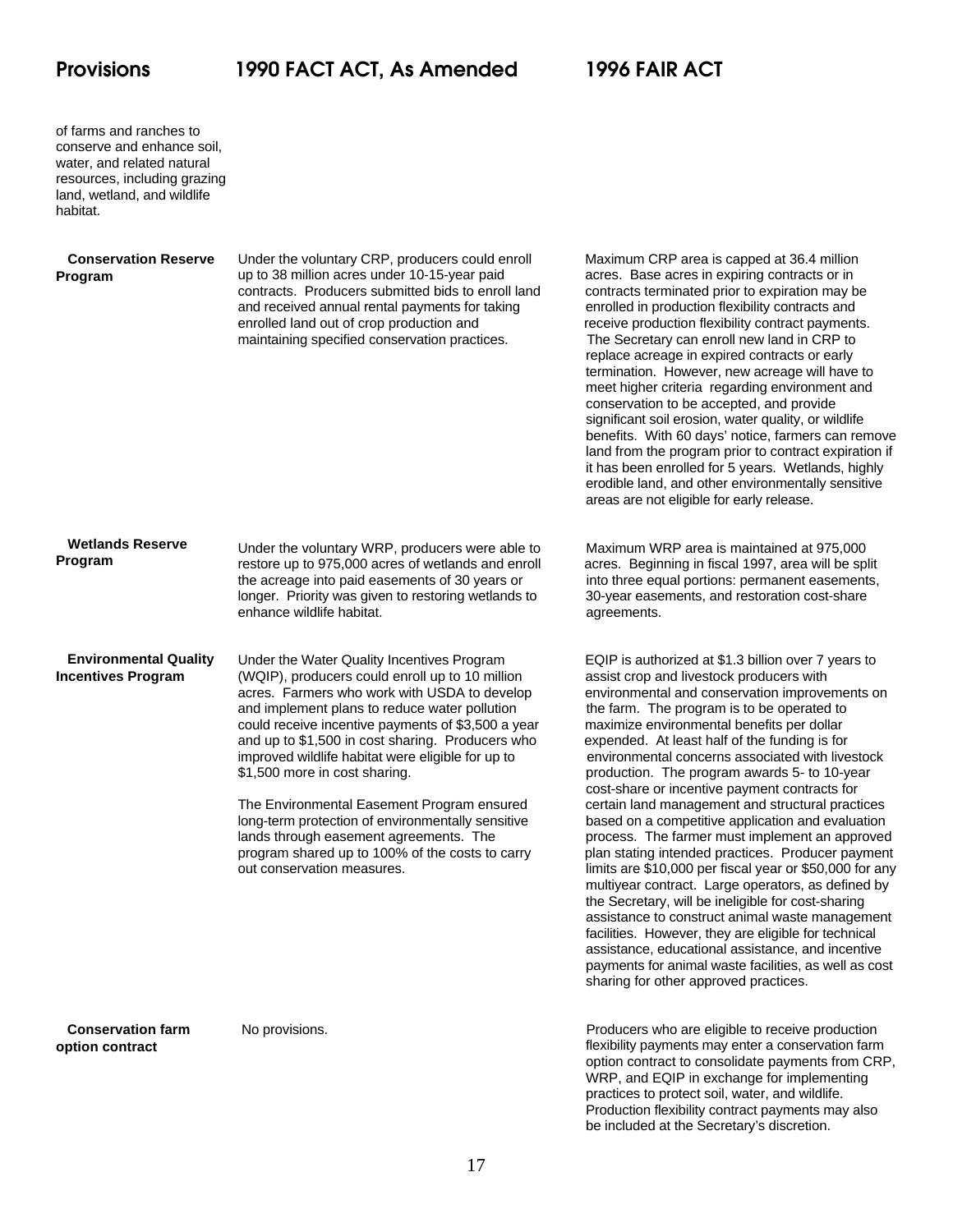of farms and ranches to conserve and enhance soil, water, and related natural resources, including grazing land, wetland, and wildlife habitat.

### **Conservation Reserve Program**

Under the voluntary CRP, producers could enroll Maximum CRP area is capped at 36.4 million up to 38 million acres under 10-15-year paid acres. Base acres in expiring contracts or in contracts. Producers submitted bids to enroll land contracts terminated prior to expiration may be and received annual rental payments for taking enrolled in production flexibility contracts and enrolled land out of crop production and receive production flexibility contract payments. maintaining specified conservation practices. The Secretary can enroll new land in CRP to

replace acreage in expired contracts or early termination. However, new acreage will have to meet higher criteria regarding environment and conservation to be accepted, and provide significant soil erosion, water quality, or wildlife benefits. With 60 days' notice, farmers can remove land from the program prior to contract expiration if it has been enrolled for 5 years. Wetlands, highly erodible land, and other environmentally sensitive areas are not eligible for early release.

| <b>Wetlands Reserve</b><br><b>Program</b> | Under the voluntary WRP, producers were able to<br>restore up to 975,000 acres of wetlands and enroll<br>the acreage into paid easements of 30 years or<br>longer. Priority was given to restoring wetlands to |
|-------------------------------------------|----------------------------------------------------------------------------------------------------------------------------------------------------------------------------------------------------------------|
|                                           | enhance wildlife habitat.                                                                                                                                                                                      |

 **Environmental Quality** Under the Water Quality Incentives Program EQIP is authorized at \$1.3 billion over 7 years to (WQIP), producers could enroll up to 10 million assist crop and livestock producers with acres. Farmers who work with USDA to develop environmental and conservation improvements on and implement plans to reduce water pollution the farm. The program is to be operated to could receive incentive payments of \$3,500 a year maximize environmental benefits per dollar and up to \$1,500 in cost sharing. Producers who expended. At least half of the funding is for improved wildlife habitat were eligible for up to environmental concerns associated with livestock<br>
\$1,500 more in cost sharing.<br>
\$1,500 more in cost sharing.

Maximum WRP area is maintained at 975,000 acres. Beginning in fiscal 1997, area will be split into three equal portions: permanent easements, 30-year easements, and restoration cost-share agreements.

production. The program awards 5- to 10-year The Environmental Easement Program ensured certain land management and structural practices long-term protection of environmentally sensitive based on a competitive application and evaluation lands through easement agreements. The process. The farmer must implement an approved program shared up to 100% of the costs to carry plan stating intended practices. Producer payment out conservation measures. limits are \$10,000 per fiscal year or \$50,000 for any cost-share or incentive payment contracts for multiyear contract. Large operators, as defined by the Secretary, will be ineligible for cost-sharing assistance to construct animal waste management facilities. However, they are eligible for technical assistance, educational assistance, and incentive payments for animal waste facilities, as well as cost sharing for other approved practices.

 **Conservation farm option contract**

**Incentives Program** 

 No provisions. Producers who are eligible to receive production flexibility payments may enter a conservation farm option contract to consolidate payments from CRP, WRP, and EQIP in exchange for implementing practices to protect soil, water, and wildlife. Production flexibility contract payments may also be included at the Secretary's discretion.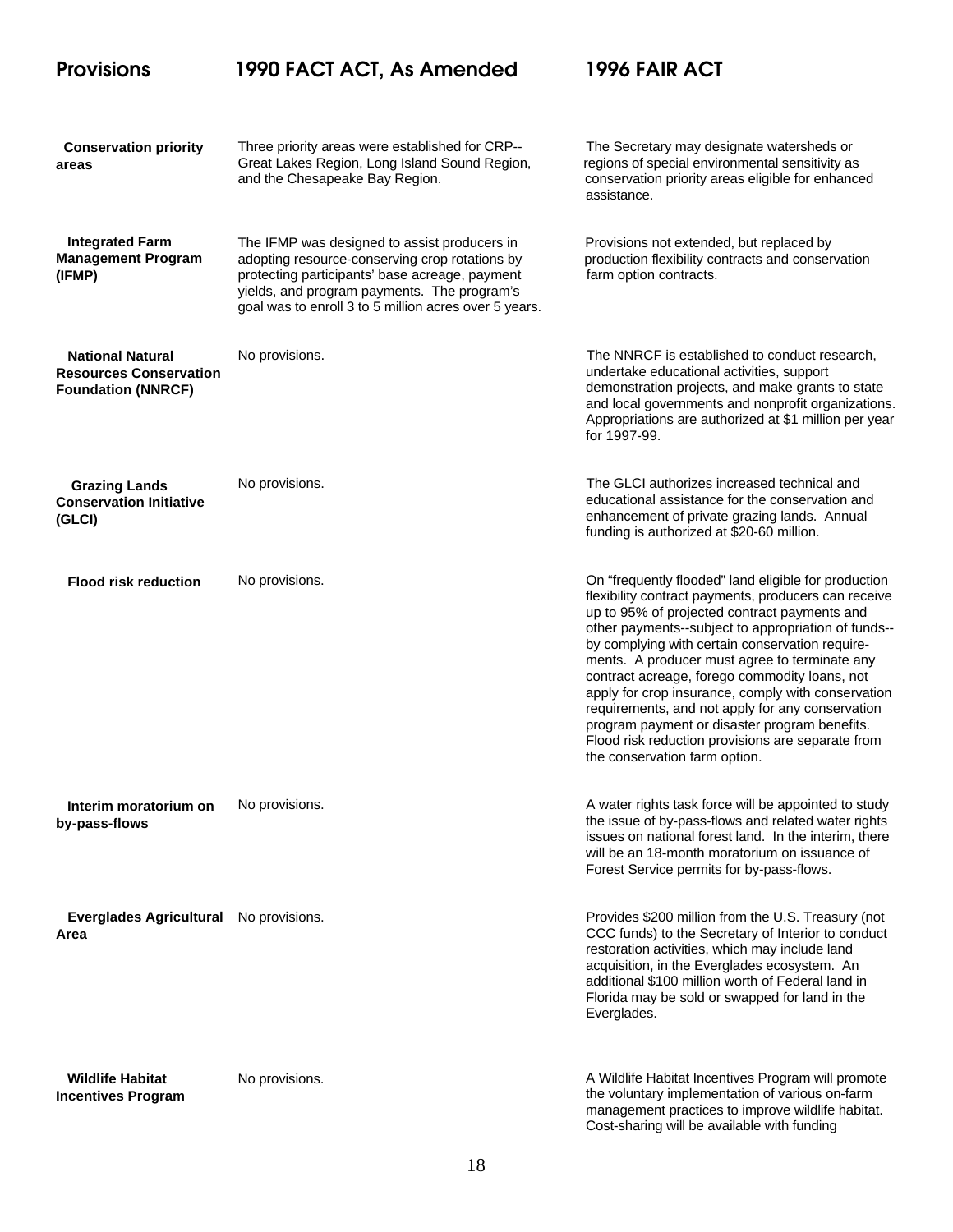### **Provisions 1990 FACT ACT, As Amended 1996 FAIR ACT Conservation priority areas Integrated Farm Management Program (IFMP) National Natural Resources Conservation Foundation (NNRCF) Grazing Lands Conservation Initiative (GLCI) Flood risk reduction Interim moratorium on by-pass-flows Everglades Agricultural Area Wildlife Habitat Incentives Program** Three priority areas were established for CRP-- The Secretary may designate watersheds or Great Lakes Region, Long Island Sound Region, regions of special environmental sensitivity as and the Chesapeake Bay Region. conservation priority areas eligible for enhanced The IFMP was designed to assist producers in Provisions not extended, but replaced by adopting resource-conserving crop rotations by production flexibility contracts and conservation protecting participants' base acreage, payment farm option contracts. yields, and program payments. The program's goal was to enroll 3 to 5 million acres over 5 years. No provisions. The NNRCF is established to conduct research, No provisions. The GLCI authorizes increased technical and No provisions. On "frequently flooded" land eligible for production No provisions. A water rights task force will be appointed to study and provisions. Provides \$200 million from the U.S. Treasury (not No provisions. assistance. undertake educational activities, support demonstration projects, and make grants to state and local governments and nonprofit organizations. Appropriations are authorized at \$1 million per year for 1997-99. educational assistance for the conservation and enhancement of private grazing lands. Annual funding is authorized at \$20-60 million. flexibility contract payments, producers can receive up to 95% of projected contract payments and other payments--subject to appropriation of funds- by complying with certain conservation requirements. A producer must agree to terminate any contract acreage, forego commodity loans, not apply for crop insurance, comply with conservation requirements, and not apply for any conservation program payment or disaster program benefits. Flood risk reduction provisions are separate from the conservation farm option. the issue of by-pass-flows and related water rights issues on national forest land. In the interim, there will be an 18-month moratorium on issuance of Forest Service permits for by-pass-flows. CCC funds) to the Secretary of Interior to conduct restoration activities, which may include land acquisition, in the Everglades ecosystem. An additional \$100 million worth of Federal land in Florida may be sold or swapped for land in the Everglades. A Wildlife Habitat Incentives Program will promote the voluntary implementation of various on-farm

management practices to improve wildlife habitat. Cost-sharing will be available with funding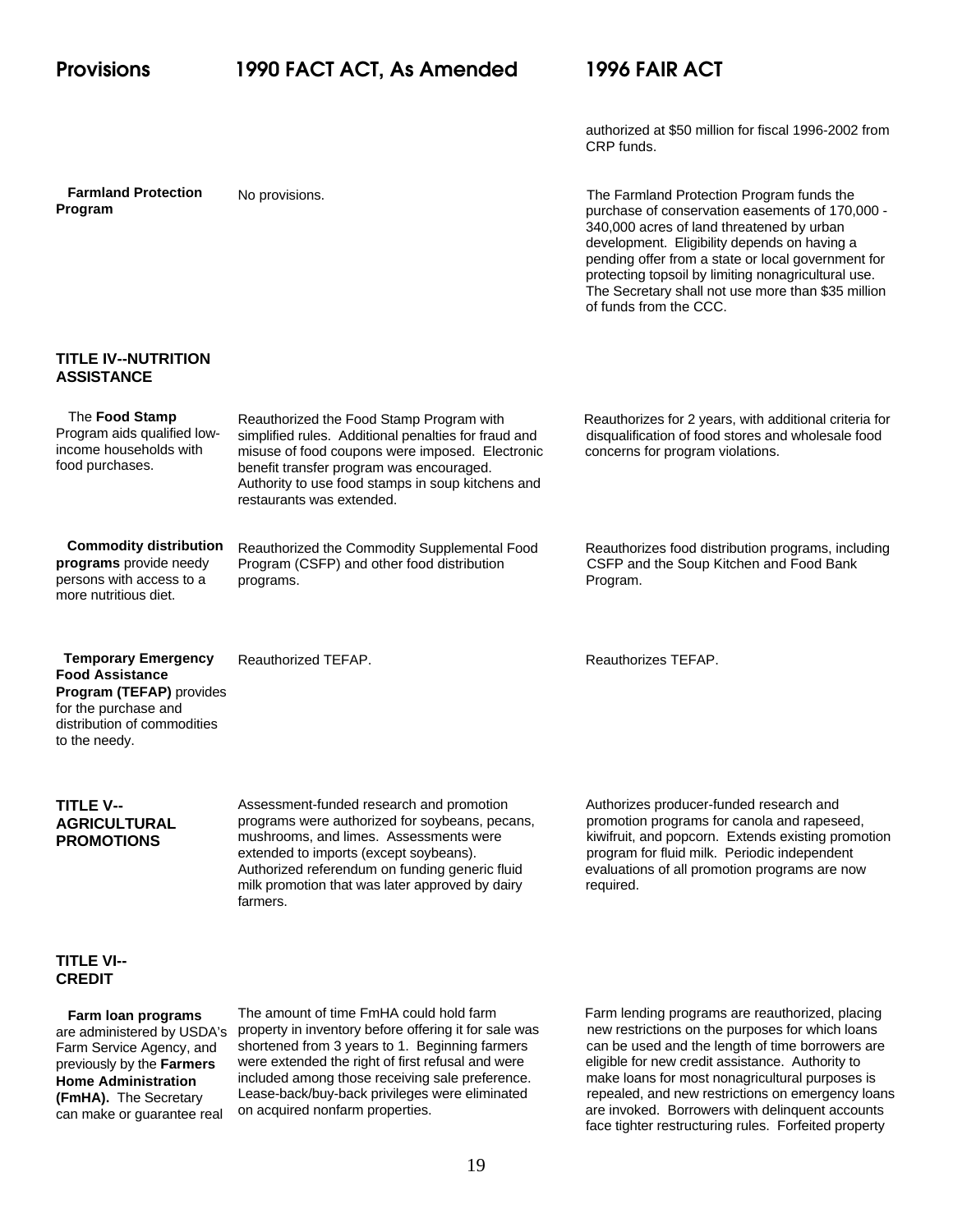authorized at \$50 million for fiscal 1996-2002 from CRP funds.

 **Farmland Protection Program**

No provisions. The Farmland Protection Program funds the purchase of conservation easements of 170,000 - 340,000 acres of land threatened by urban development. Eligibility depends on having a pending offer from a state or local government for protecting topsoil by limiting nonagricultural use. The Secretary shall not use more than \$35 million of funds from the CCC.

### **TITLE IV--NUTRITION ASSISTANCE**

| The Food Stamp<br>Program aids qualified low-<br>income households with<br>food purchases.                                                               | Reauthorized the Food Stamp Program with<br>simplified rules. Additional penalties for fraud and<br>misuse of food coupons were imposed. Electronic<br>benefit transfer program was encouraged.<br>Authority to use food stamps in soup kitchens and<br>restaurants was extended.               | Reauthorizes for 2 years, with additional criteria for<br>disqualification of food stores and wholesale food<br>concerns for program violations.                                                                                                           |
|----------------------------------------------------------------------------------------------------------------------------------------------------------|-------------------------------------------------------------------------------------------------------------------------------------------------------------------------------------------------------------------------------------------------------------------------------------------------|------------------------------------------------------------------------------------------------------------------------------------------------------------------------------------------------------------------------------------------------------------|
| <b>Commodity distribution</b><br>programs provide needy<br>persons with access to a<br>more nutritious diet.                                             | Reauthorized the Commodity Supplemental Food<br>Program (CSFP) and other food distribution<br>programs.                                                                                                                                                                                         | Reauthorizes food distribution programs, including<br>CSFP and the Soup Kitchen and Food Bank<br>Program.                                                                                                                                                  |
| <b>Temporary Emergency</b><br><b>Food Assistance</b><br>Program (TEFAP) provides<br>for the purchase and<br>distribution of commodities<br>to the needy. | Reauthorized TEFAP.                                                                                                                                                                                                                                                                             | Reauthorizes TEFAP.                                                                                                                                                                                                                                        |
| <b>TITLE V--</b><br><b>AGRICULTURAL</b><br><b>PROMOTIONS</b>                                                                                             | Assessment-funded research and promotion<br>programs were authorized for soybeans, pecans,<br>mushrooms, and limes. Assessments were<br>extended to imports (except soybeans).<br>Authorized referendum on funding generic fluid<br>milk promotion that was later approved by dairy<br>farmers. | Authorizes producer-funded research and<br>promotion programs for canola and rapeseed,<br>kiwifruit, and popcorn. Extends existing promotion<br>program for fluid milk. Periodic independent<br>evaluations of all promotion programs are now<br>required. |
| <b>TITLE VI--</b><br><b>CREDIT</b>                                                                                                                       |                                                                                                                                                                                                                                                                                                 |                                                                                                                                                                                                                                                            |
| Farm loan programs<br>are administered by USDA's                                                                                                         | The amount of time FmHA could hold farm<br>property in inventory before offering it for sale was                                                                                                                                                                                                | Farm lending programs are reauthorized, placing<br>new restrictions on the purposes for which loans                                                                                                                                                        |

Farm Service Agency, and previously by the **Farmers Home Administration (FmHA).** The Secretary can make or guarantee real were extended the right of first refusal and were eligible for new credit assistance. Authority to included among those receiving sale preference. The make loans for most nonagricultural purposes is included among those receiving sale preference.<br>Lease-back/buy-back privileges were eliminated

shortened from 3 years to 1. Beginning farmers can be used and the length of time borrowers are were extended the right of first refusal and were eigible for new credit assistance. Authority to repealed, and new restrictions on emergency loans on acquired nonfarm properties. are invoked. Borrowers with delinquent accounts face tighter restructuring rules. Forfeited property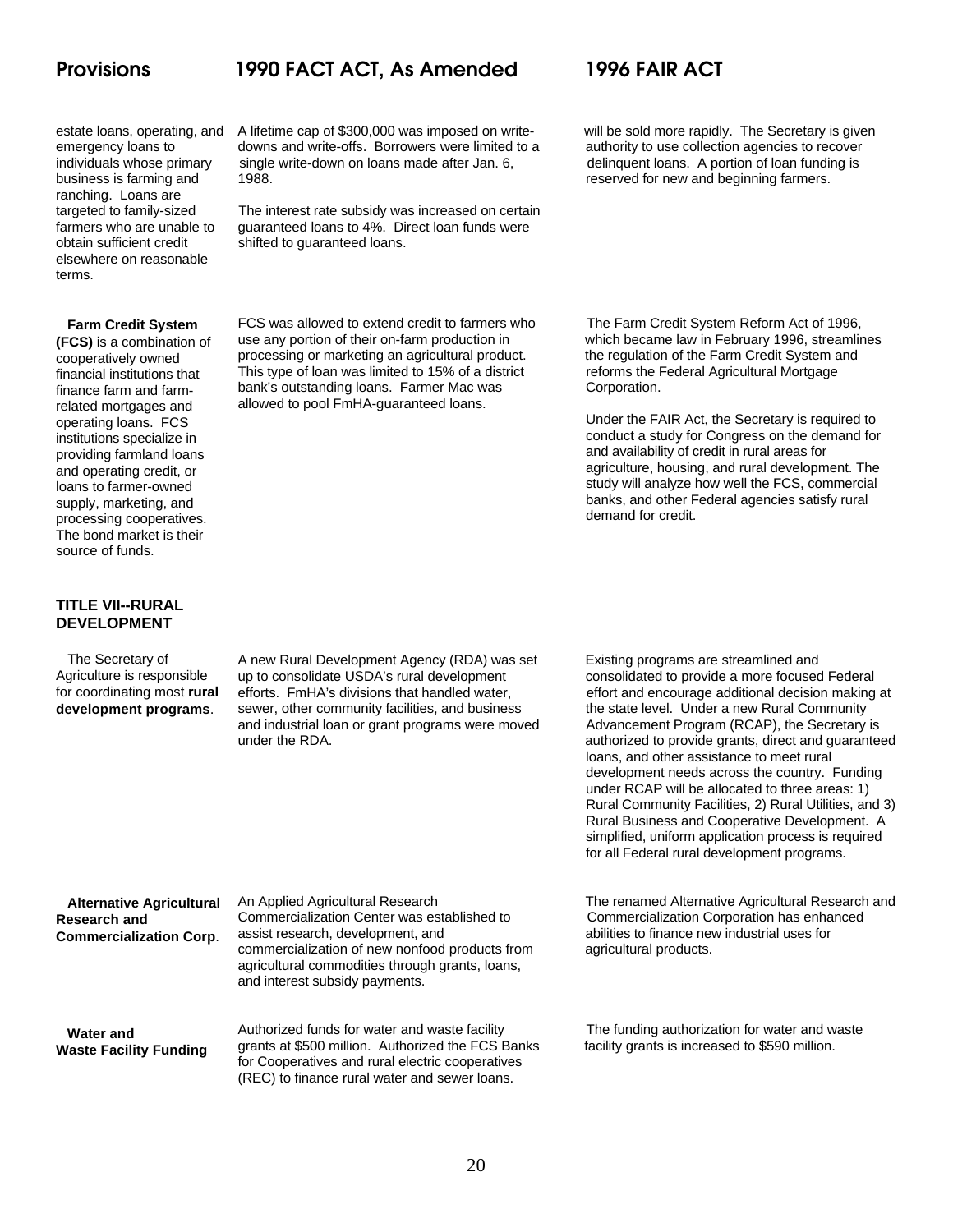ranching. Loans are elsewhere on reasonable terms.

 **Farm Credit System**

**(FCS)** is a combination of cooperatively owned financial institutions that finance farm and farmrelated mortgages and operating loans. FCS institutions specialize in providing farmland loans and operating credit, or loans to farmer-owned supply, marketing, and processing cooperatives. The bond market is their source of funds.

### **TITLE VII--RURAL DEVELOPMENT**

The Secretary of Agriculture is responsible for coordinating most **rural development programs**.

estate loans, operating, and A lifetime cap of \$300,000 was imposed on write- will be sold more rapidly. The Secretary is given emergency loans to downs and write-offs. Borrowers were limited to a authority to use collection agencies to recover<br>individuals whose primary single write-down on loans made after Jan. 6, delinquent loans. A portion of lo individuals whose primary single write-down on loans made after Jan. 6, business is farming and  $1988$ 

targeted to family-sized The interest rate subsidy was increased on certain farmers who are unable to guaranteed loans to 4%. Direct loan funds were obtain sufficient credit shifted to quaranteed loans.

> use any portion of their on-farm production in which became law in February 1996, streamlines processing or marketing an agricultural product. the regulation of the Farm Credit System and This type of loan was limited to 15% of a district reforms the Federal Agricultural Mortgage bank's outstanding loans. Farmer Mac was **Corporation**. allowed to pool FmHA-guaranteed loans.

business is farming and 1988. The 1988 of the served for new and beginning farmers.

FCS was allowed to extend credit to farmers who The Farm Credit System Reform Act of 1996,

Under the FAIR Act, the Secretary is required to conduct a study for Congress on the demand for and availability of credit in rural areas for agriculture, housing, and rural development. The study will analyze how well the FCS, commercial banks, and other Federal agencies satisfy rural demand for credit.

A new Rural Development Agency (RDA) was set Existing programs are streamlined and<br>up to consolidate USDA's rural development consolidated to provide a more focused up to consolidate USDA's rural development consolidated to provide a more focused Federal<br>efforts. FmHA's divisions that handled water, effort and encourage additional decision making sewer, other community facilities, and business and industrial loan or grant programs were moved <br>Advancement Program (RCAP), the Secretary is

effort and encourage additional decision making at<br>the state level. Under a new Rural Community under the RDA. **authorized to provide grants, direct and guaranteed** loans, and other assistance to meet rural development needs across the country. Funding under RCAP will be allocated to three areas: 1) Rural Community Facilities, 2) Rural Utilities, and 3) Rural Business and Cooperative Development. A simplified, uniform application process is required for all Federal rural development programs.

 **Alternative Agricultural Research and Commercialization Corp**.

An Applied Agricultural Research The renamed Alternative Agricultural Research and Commercialization Center was established to Commercialization Corporation has enhanced assist research, development, and abilities to finance new industrial uses for commercialization of new nonfood products from agricultural products. agricultural commodities through grants, loans, and interest subsidy payments.

 **Water and Waste Facility Funding** Authorized funds for water and waste facility The funding authorization for water and waste grants at \$500 million. Authorized the FCS Banks facility grants is increased to \$590 million. for Cooperatives and rural electric cooperatives (REC) to finance rural water and sewer loans.